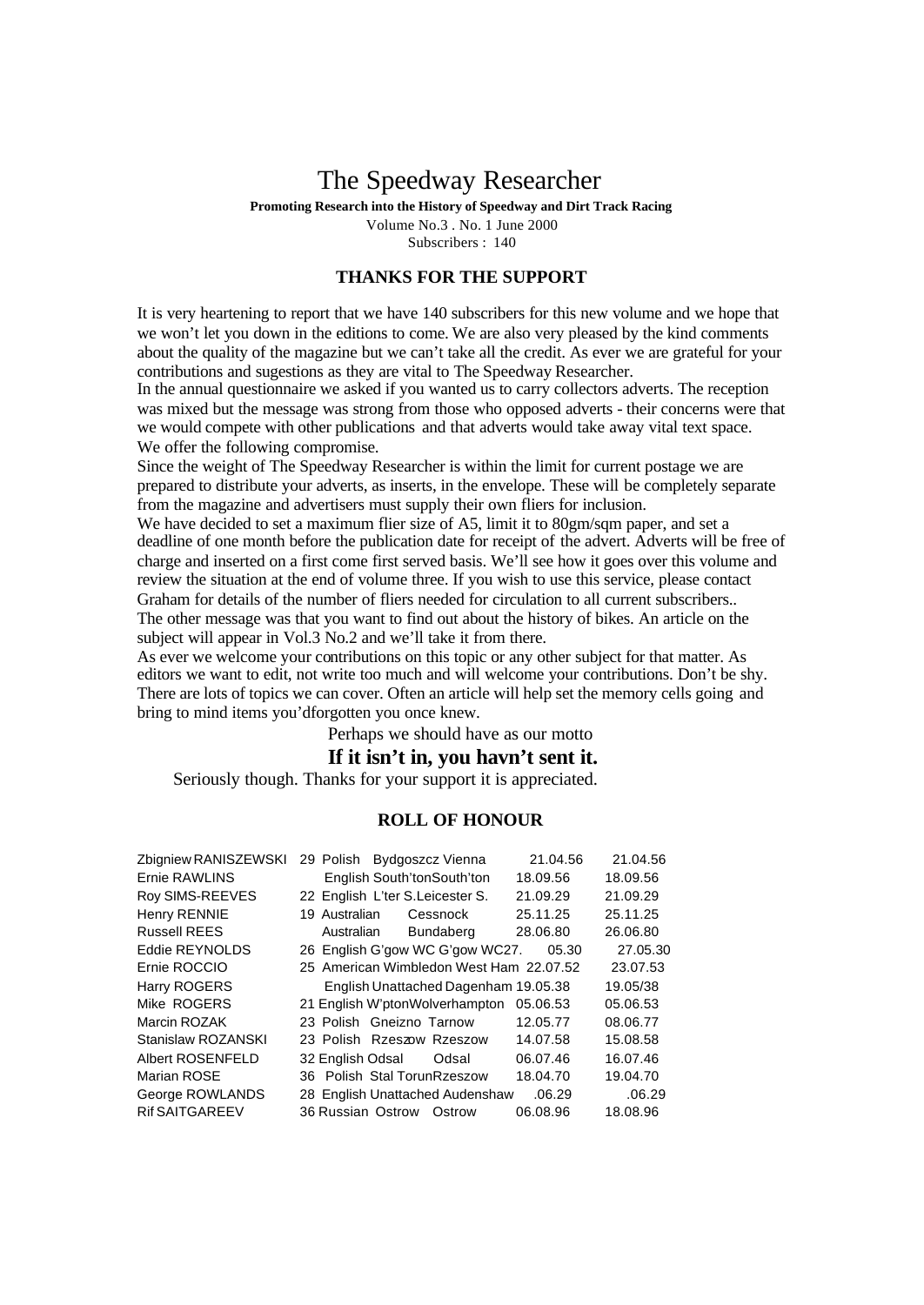## The Speedway Researcher

**Promoting Research into the History of Speedway and Dirt Track Racing**

Volume No.3 . No. 1 June 2000 Subscribers : 140

## **THANKS FOR THE SUPPORT**

It is very heartening to report that we have 140 subscribers for this new volume and we hope that we won't let you down in the editions to come. We are also very pleased by the kind comments about the quality of the magazine but we can't take all the credit. As ever we are grateful for your contributions and sugestions as they are vital to The Speedway Researcher.

In the annual questionnaire we asked if you wanted us to carry collectors adverts. The reception was mixed but the message was strong from those who opposed adverts - their concerns were that we would compete with other publications and that adverts would take away vital text space. We offer the following compromise.

Since the weight of The Speedway Researcher is within the limit for current postage we are prepared to distribute your adverts, as inserts, in the envelope. These will be completely separate from the magazine and advertisers must supply their own fliers for inclusion.

We have decided to set a maximum flier size of A5, limit it to 80gm/sqm paper, and set a deadline of one month before the publication date for receipt of the advert. Adverts will be free of charge and inserted on a first come first served basis. We'll see how it goes over this volume and review the situation at the end of volume three. If you wish to use this service, please contact Graham for details of the number of fliers needed for circulation to all current subscribers.. The other message was that you want to find out about the history of bikes. An article on the subject will appear in Vol.3 No.2 and we'll take it from there.

As ever we welcome your contributions on this topic or any other subject for that matter. As editors we want to edit, not write too much and will welcome your contributions. Don't be shy. There are lots of topics we can cover. Often an article will help set the memory cells going and bring to mind items you'dforgotten you once knew.

Perhaps we should have as our motto

## **If it isn't in, you havn't sent it.**

Seriously though. Thanks for your support it is appreciated.

#### **ROLL OF HONOUR**

| Zbigniew RANISZEWSKI    |                          |  | 29 Polish Bydgoszcz Vienna              |          | 21.04.56 | 21.04.56 |  |
|-------------------------|--------------------------|--|-----------------------------------------|----------|----------|----------|--|
| Ernie RAWLINS           |                          |  | English South'tonSouth'ton              | 18.09.56 |          | 18.09.56 |  |
| Roy SIMS-REEVES         |                          |  | 22 English L'ter S. Leicester S.        | 21.09.29 |          | 21.09.29 |  |
| Henry RENNIE            | 19 Australian            |  | Cessnock                                | 25.11.25 |          | 25.11.25 |  |
| <b>Russell REES</b>     | Australian               |  | Bundaberg                               | 28.06.80 |          | 26.06.80 |  |
| Eddie REYNOLDS          |                          |  | 26 English G'gow WC G'gow WC27.         |          | 05.30    | 27.05.30 |  |
| Ernie ROCCIO            |                          |  | 25 American Wimbledon West Ham 22.07.52 |          |          | 23.07.53 |  |
| Harry ROGERS            |                          |  | English Unattached Dagenham 19.05.38    |          |          | 19.05/38 |  |
| Mike ROGERS             |                          |  | 21 English W'ptonWolverhampton          | 05.06.53 |          | 05.06.53 |  |
| Marcin ROZAK            | 23 Polish Gneizno Tarnow |  |                                         | 12.05.77 |          | 08.06.77 |  |
| Stanislaw ROZANSKI      |                          |  | 23 Polish Rzeszow Rzeszow               | 14.07.58 |          | 15.08.58 |  |
| <b>Albert ROSENFELD</b> | 32 English Odsal         |  | Odsal                                   | 06.07.46 |          | 16.07.46 |  |
| Marian ROSE             |                          |  | 36 Polish Stal TorunRzeszow             | 18.04.70 |          | 19.04.70 |  |
| George ROWLANDS         |                          |  | 28 English Unattached Audenshaw         |          | .06.29   | .06.29   |  |
| <b>Rif SAITGAREEV</b>   | 36 Russian Ostrow        |  | Ostrow                                  | 06.08.96 |          | 18.08.96 |  |
|                         |                          |  |                                         |          |          |          |  |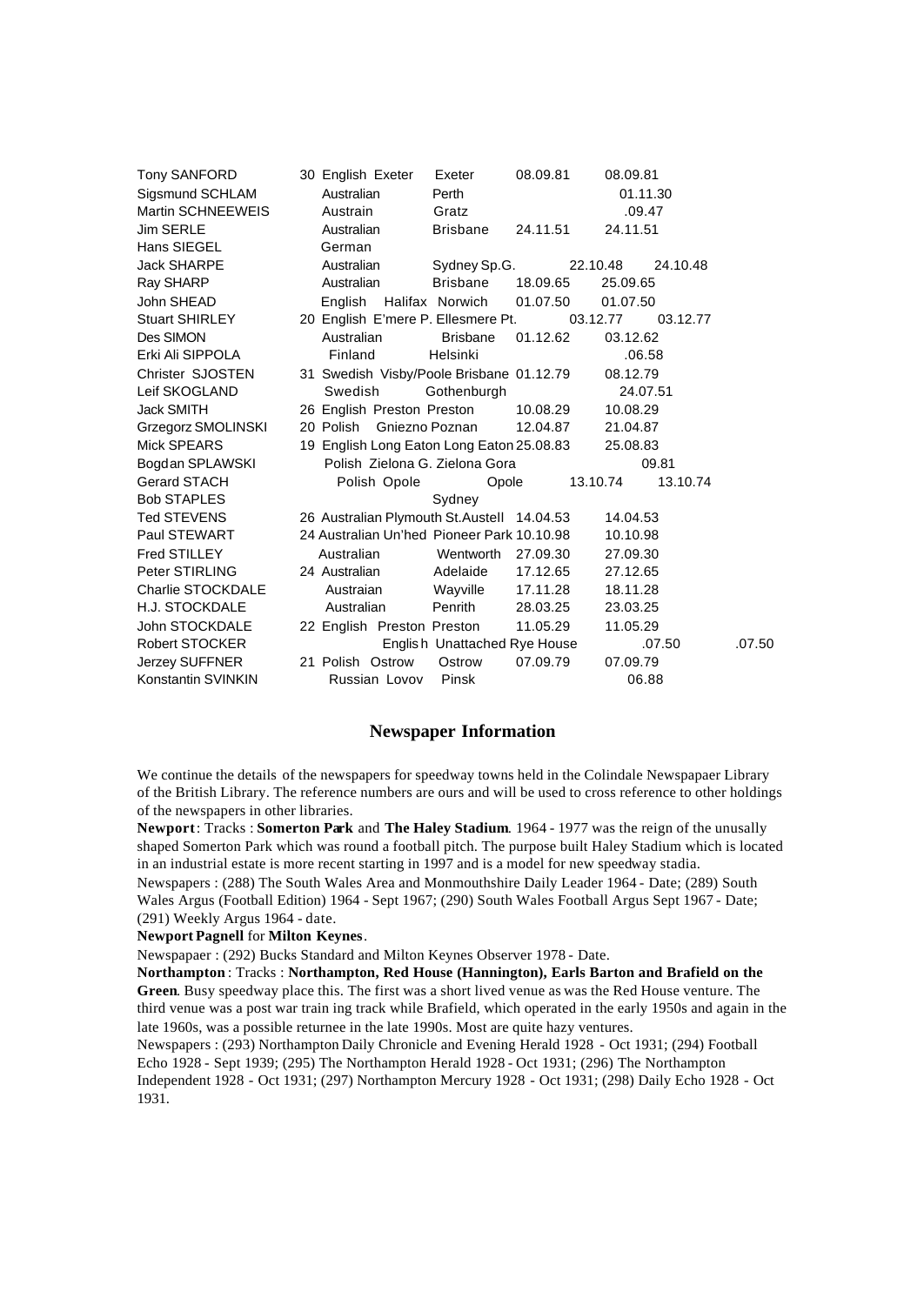| Tony SANFORD          | 30 English Exeter                           | Exeter                       | 08.09.81 | 08.09.81 |          |        |
|-----------------------|---------------------------------------------|------------------------------|----------|----------|----------|--------|
| Sigsmund SCHLAM       | Australian                                  | Perth                        |          |          | 01.11.30 |        |
| Martin SCHNEEWEIS     | Austrain                                    | Gratz                        |          |          | .09.47   |        |
| <b>Jim SERLE</b>      | Australian                                  | <b>Brisbane</b>              | 24.11.51 | 24.11.51 |          |        |
| Hans SIEGEL           | German                                      |                              |          |          |          |        |
| <b>Jack SHARPE</b>    | Australian                                  | Sydney Sp.G.                 |          | 22.10.48 | 24.10.48 |        |
| Ray SHARP             | Australian                                  | Brisbane                     | 18.09.65 | 25.09.65 |          |        |
| John SHEAD            | English                                     | Halifax Norwich              | 01.07.50 | 01.07.50 |          |        |
| <b>Stuart SHIRLEY</b> | 20 English E'mere P. Ellesmere Pt.          |                              |          | 03.12.77 | 03.12.77 |        |
| Des SIMON             | Australian                                  | <b>Brisbane</b>              | 01.12.62 | 03.12.62 |          |        |
| Erki Ali SIPPOLA      | Finland                                     | Helsinki                     |          | .06.58   |          |        |
| Christer SJOSTEN      | 31 Swedish Visby/Poole Brisbane 01.12.79    |                              |          | 08.12.79 |          |        |
| Leif SKOGLAND         | Swedish                                     | Gothenburgh                  |          |          | 24.07.51 |        |
| Jack SMITH            | 26 English Preston Preston                  |                              | 10.08.29 | 10.08.29 |          |        |
| Grzegorz SMOLINSKI    | 20 Polish Gniezno Poznan                    |                              | 12.04.87 | 21.04.87 |          |        |
| Mick SPEARS           | 19 English Long Eaton Long Eaton 25.08.83   |                              |          | 25.08.83 |          |        |
| Bogdan SPLAWSKI       | Polish Zielona G. Zielona Gora              |                              |          |          | 09.81    |        |
| Gerard STACH          | Polish Opole                                | Opole                        |          | 13.10.74 | 13.10.74 |        |
| <b>Bob STAPLES</b>    |                                             | Sydney                       |          |          |          |        |
| Ted STEVENS           | 26 Australian Plymouth St. Austell 14.04.53 |                              |          | 14.04.53 |          |        |
| Paul STEWART          | 24 Australian Un'hed Pioneer Park 10.10.98  |                              |          | 10.10.98 |          |        |
| Fred STILLEY          | Australian                                  | Wentworth 27,09.30           |          | 27.09.30 |          |        |
| Peter STIRLING        | 24 Australian                               | Adelaide                     | 17.12.65 | 27.12.65 |          |        |
| Charlie STOCKDALE     | Austraian                                   | Wayville                     | 17.11.28 | 18.11.28 |          |        |
| H.J. STOCKDALE        | Australian                                  | Penrith                      | 28.03.25 | 23.03.25 |          |        |
| John STOCKDALE        | 22 English Preston Preston                  |                              | 11.05.29 | 11.05.29 |          |        |
| Robert STOCKER        |                                             | English Unattached Rye House |          |          | .07.50   | .07.50 |
| Jerzey SUFFNER        | 21 Polish Ostrow                            | Ostrow                       | 07.09.79 | 07.09.79 |          |        |
| Konstantin SVINKIN    | Russian Lovov                               | Pinsk                        |          |          | 06.88    |        |
|                       |                                             |                              |          |          |          |        |

#### **Newspaper Information**

We continue the details of the newspapers for speedway towns held in the Colindale Newspapaer Library of the British Library. The reference numbers are ours and will be used to cross reference to other holdings of the newspapers in other libraries.

**Newport**: Tracks : **Somerton Park** and **The Haley Stadium**. 1964 - 1977 was the reign of the unusally shaped Somerton Park which was round a football pitch. The purpose built Haley Stadium which is located in an industrial estate is more recent starting in 1997 and is a model for new speedway stadia. Newspapers : (288) The South Wales Area and Monmouthshire Daily Leader 1964 - Date; (289) South Wales Argus (Football Edition) 1964 - Sept 1967; (290) South Wales Football Argus Sept 1967 - Date;

(291) Weekly Argus 1964 - date.

#### **Newport Pagnell** for **Milton Keynes**.

Newspapaer : (292) Bucks Standard and Milton Keynes Observer 1978 - Date.

**Northampton** : Tracks : **Northampton, Red House (Hannington), Earls Barton and Brafield on the Green**. Busy speedway place this. The first was a short lived venue as was the Red House venture. The third venue was a post war train ing track while Brafield, which operated in the early 1950s and again in the late 1960s, was a possible returnee in the late 1990s. Most are quite hazy ventures.

Newspapers : (293) Northampton Daily Chronicle and Evening Herald 1928 - Oct 1931; (294) Football Echo 1928 - Sept 1939; (295) The Northampton Herald 1928 - Oct 1931; (296) The Northampton Independent 1928 - Oct 1931; (297) Northampton Mercury 1928 - Oct 1931; (298) Daily Echo 1928 - Oct 1931.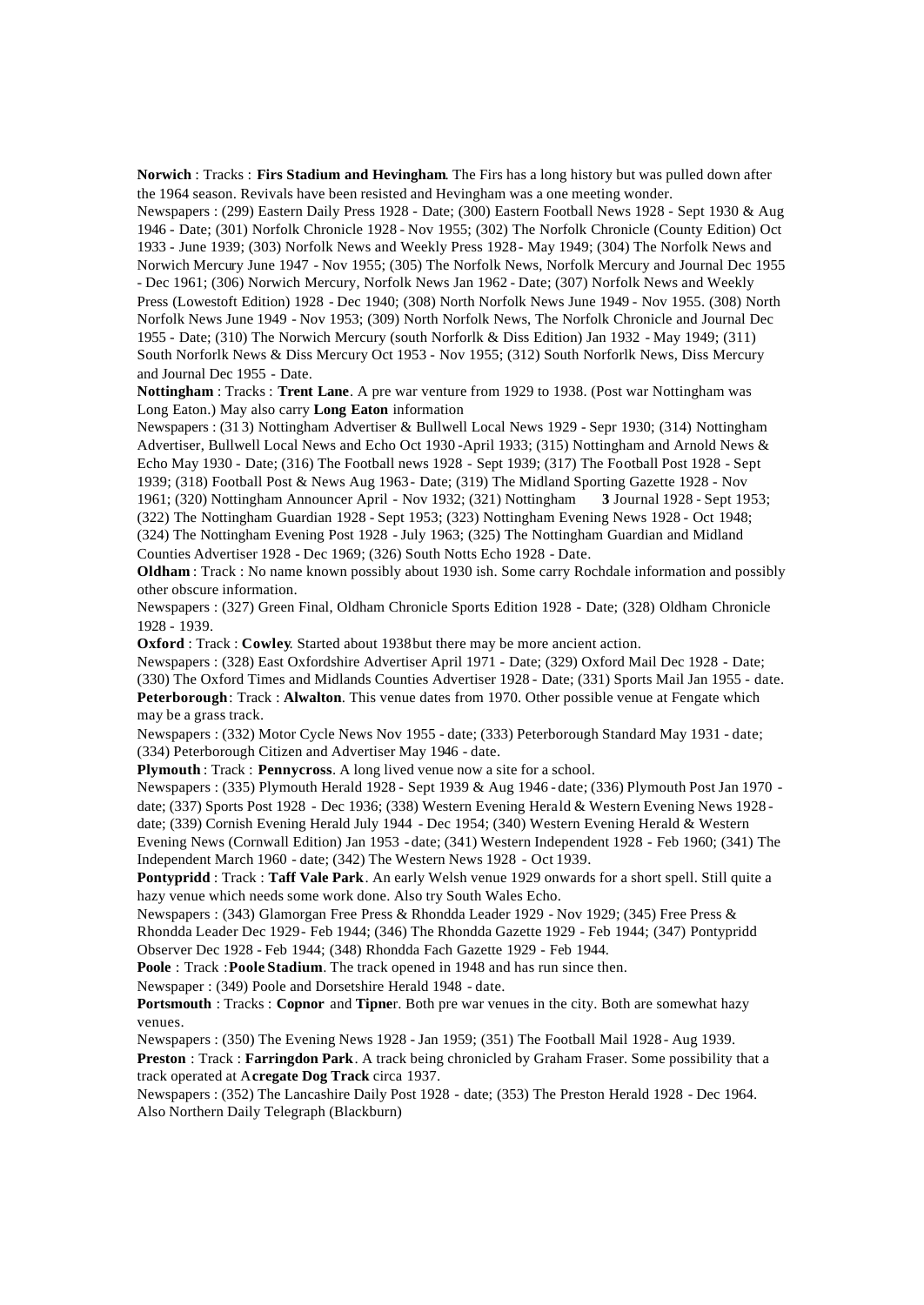**Norwich** : Tracks : **Firs Stadium and Hevingham**. The Firs has a long history but was pulled down after the 1964 season. Revivals have been resisted and Hevingham was a one meeting wonder.

Newspapers : (299) Eastern Daily Press 1928 - Date; (300) Eastern Football News 1928 - Sept 1930 & Aug 1946 - Date; (301) Norfolk Chronicle 1928 - Nov 1955; (302) The Norfolk Chronicle (County Edition) Oct 1933 - June 1939; (303) Norfolk News and Weekly Press 1928 - May 1949; (304) The Norfolk News and Norwich Mercury June 1947 - Nov 1955; (305) The Norfolk News, Norfolk Mercury and Journal Dec 1955 - Dec 1961; (306) Norwich Mercury, Norfolk News Jan 1962 - Date; (307) Norfolk News and Weekly Press (Lowestoft Edition) 1928 - Dec 1940; (308) North Norfolk News June 1949 - Nov 1955. (308) North Norfolk News June 1949 - Nov 1953; (309) North Norfolk News, The Norfolk Chronicle and Journal Dec 1955 - Date; (310) The Norwich Mercury (south Norforlk & Diss Edition) Jan 1932 - May 1949; (311) South Norforlk News & Diss Mercury Oct 1953 - Nov 1955; (312) South Norforlk News, Diss Mercury and Journal Dec 1955 - Date.

**Nottingham** : Tracks : **Trent Lane**. A pre war venture from 1929 to 1938. (Post war Nottingham was Long Eaton.) May also carry **Long Eaton** information

Newspapers : (31 3) Nottingham Advertiser & Bullwell Local News 1929 - Sepr 1930; (314) Nottingham Advertiser, Bullwell Local News and Echo Oct 1930 -April 1933; (315) Nottingham and Arnold News & Echo May 1930 - Date; (316) The Football news 1928 - Sept 1939; (317) The Football Post 1928 - Sept 1939; (318) Football Post & News Aug 1963 - Date; (319) The Midland Sporting Gazette 1928 - Nov 1961; (320) Nottingham Announcer April - Nov 1932; (321) Nottingham **3** Journal 1928 - Sept 1953; (322) The Nottingham Guardian 1928 - Sept 1953; (323) Nottingham Evening News 1928 - Oct 1948; (324) The Nottingham Evening Post 1928 - July 1963; (325) The Nottingham Guardian and Midland

Counties Advertiser 1928 - Dec 1969; (326) South Notts Echo 1928 - Date.

**Oldham** : Track : No name known possibly about 1930 ish. Some carry Rochdale information and possibly other obscure information.

Newspapers : (327) Green Final, Oldham Chronicle Sports Edition 1928 - Date; (328) Oldham Chronicle 1928 - 1939.

**Oxford** : Track : **Cowley**. Started about 1938but there may be more ancient action.

Newspapers : (328) East Oxfordshire Advertiser April 1971 - Date; (329) Oxford Mail Dec 1928 - Date; (330) The Oxford Times and Midlands Counties Advertiser 1928 - Date; (331) Sports Mail Jan 1955 - date. **Peterborough**: Track : **Alwalton**. This venue dates from 1970. Other possible venue at Fengate which may be a grass track.

Newspapers : (332) Motor Cycle News Nov 1955 - date; (333) Peterborough Standard May 1931 - date; (334) Peterborough Citizen and Advertiser May 1946 - date.

**Plymouth** : Track : **Pennycross**. A long lived venue now a site for a school.

Newspapers : (335) Plymouth Herald 1928 - Sept 1939 & Aug 1946 - date; (336) Plymouth Post Jan 1970 date; (337) Sports Post 1928 - Dec 1936; (338) Western Evening Herald & Western Evening News 1928 date; (339) Cornish Evening Herald July 1944 - Dec 1954; (340) Western Evening Herald & Western Evening News (Cornwall Edition) Jan 1953 - date; (341) Western Independent 1928 - Feb 1960; (341) The Independent March 1960 - date; (342) The Western News 1928 - Oct 1939.

**Pontypridd** : Track : **Taff Vale Park**. An early Welsh venue 1929 onwards for a short spell. Still quite a hazy venue which needs some work done. Also try South Wales Echo.

Newspapers : (343) Glamorgan Free Press & Rhondda Leader 1929 - Nov 1929; (345) Free Press &

Rhondda Leader Dec 1929 - Feb 1944; (346) The Rhondda Gazette 1929 - Feb 1944; (347) Pontypridd Observer Dec 1928 - Feb 1944; (348) Rhondda Fach Gazette 1929 - Feb 1944.

**Poole** : Track :**Poole Stadium**. The track opened in 1948 and has run since then.

Newspaper : (349) Poole and Dorsetshire Herald 1948 - date.

**Portsmouth** : Tracks : **Copnor** and **Tipne**r. Both pre war venues in the city. Both are somewhat hazy venues.

Newspapers : (350) The Evening News 1928 - Jan 1959; (351) The Football Mail 1928 - Aug 1939.

**Preston** : Track : **Farringdon Park**. A track being chronicled by Graham Fraser. Some possibility that a track operated at A**cregate Dog Track** circa 1937.

Newspapers : (352) The Lancashire Daily Post 1928 - date; (353) The Preston Herald 1928 - Dec 1964. Also Northern Daily Telegraph (Blackburn)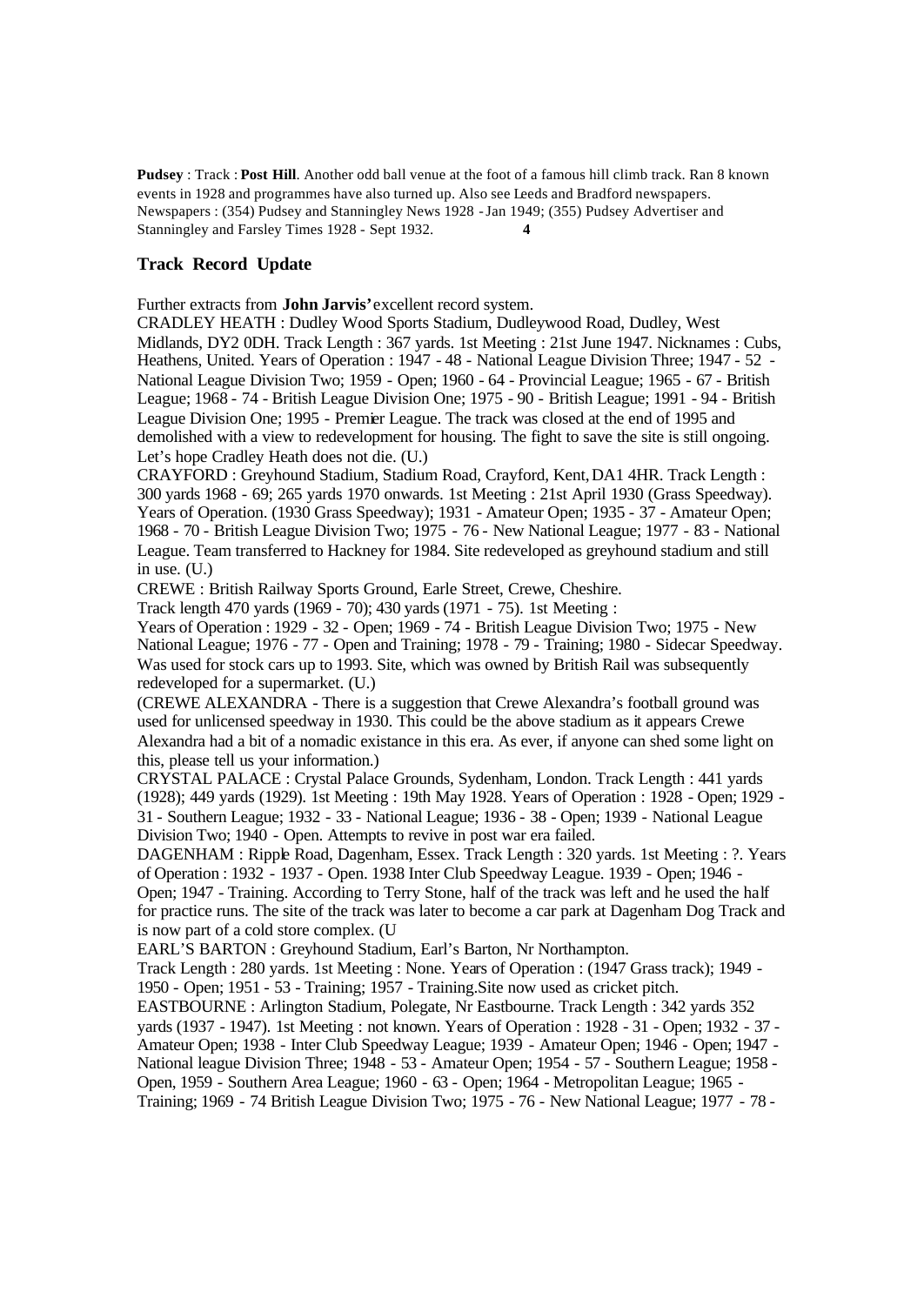**Pudsey** : Track : **Post Hill**. Another odd ball venue at the foot of a famous hill climb track. Ran 8 known events in 1928 and programmes have also turned up. Also see Leeds and Bradford newspapers. Newspapers : (354) Pudsey and Stanningley News 1928 -Jan 1949; (355) Pudsey Advertiser and Stanningley and Farsley Times 1928 - Sept 1932. **4** 

#### **Track Record Update**

Further extracts from **John Jarvis'**excellent record system.

CRADLEY HEATH : Dudley Wood Sports Stadium, Dudleywood Road, Dudley, West Midlands, DY2 0DH. Track Length : 367 yards. 1st Meeting : 21st June 1947. Nicknames : Cubs, Heathens, United. Years of Operation : 1947 - 48 - National League Division Three; 1947 - 52 - National League Division Two; 1959 - Open; 1960 - 64 - Provincial League; 1965 - 67 - British League; 1968 - 74 - British League Division One; 1975 - 90 - British League; 1991 - 94 - British League Division One; 1995 - Premier League. The track was closed at the end of 1995 and demolished with a view to redevelopment for housing. The fight to save the site is still ongoing. Let's hope Cradley Heath does not die. (U.)

CRAYFORD : Greyhound Stadium, Stadium Road, Crayford, Kent,DA1 4HR. Track Length : 300 yards 1968 - 69; 265 yards 1970 onwards. 1st Meeting : 21st April 1930 (Grass Speedway). Years of Operation. (1930 Grass Speedway); 1931 - Amateur Open; 1935 - 37 - Amateur Open; 1968 - 70 - British League Division Two; 1975 - 76 - New National League; 1977 - 83 - National League. Team transferred to Hackney for 1984. Site redeveloped as greyhound stadium and still in use. (U.)

CREWE : British Railway Sports Ground, Earle Street, Crewe, Cheshire.

Track length 470 yards (1969 - 70); 430 yards (1971 - 75). 1st Meeting :

Years of Operation : 1929 - 32 - Open; 1969 - 74 - British League Division Two; 1975 - New National League; 1976 - 77 - Open and Training; 1978 - 79 - Training; 1980 - Sidecar Speedway. Was used for stock cars up to 1993. Site, which was owned by British Rail was subsequently redeveloped for a supermarket. (U.)

(CREWE ALEXANDRA - There is a suggestion that Crewe Alexandra's football ground was used for unlicensed speedway in 1930. This could be the above stadium as it appears Crewe Alexandra had a bit of a nomadic existance in this era. As ever, if anyone can shed some light on this, please tell us your information.)

CRYSTAL PALACE : Crystal Palace Grounds, Sydenham, London. Track Length : 441 yards (1928); 449 yards (1929). 1st Meeting : 19th May 1928. Years of Operation : 1928 - Open; 1929 - 31 - Southern League; 1932 - 33 - National League; 1936 - 38 - Open; 1939 - National League Division Two; 1940 - Open. Attempts to revive in post war era failed.

DAGENHAM : Ripple Road, Dagenham, Essex. Track Length : 320 yards. 1st Meeting : ?. Years of Operation : 1932 - 1937 - Open. 1938 Inter Club Speedway League. 1939 - Open; 1946 - Open; 1947 - Training. According to Terry Stone, half of the track was left and he used the half for practice runs. The site of the track was later to become a car park at Dagenham Dog Track and is now part of a cold store complex. (U

EARL'S BARTON : Greyhound Stadium, Earl's Barton, Nr Northampton.

Track Length : 280 yards. 1st Meeting : None. Years of Operation : (1947 Grass track); 1949 - 1950 - Open; 1951 - 53 - Training; 1957 - Training.Site now used as cricket pitch.

EASTBOURNE : Arlington Stadium, Polegate, Nr Eastbourne. Track Length : 342 yards 352 yards (1937 - 1947). 1st Meeting : not known. Years of Operation : 1928 - 31 - Open; 1932 - 37 - Amateur Open; 1938 - Inter Club Speedway League; 1939 - Amateur Open; 1946 - Open; 1947 - National league Division Three; 1948 - 53 - Amateur Open; 1954 - 57 - Southern League; 1958 - Open, 1959 - Southern Area League; 1960 - 63 - Open; 1964 - Metropolitan League; 1965 - Training; 1969 - 74 British League Division Two; 1975 - 76 - New National League; 1977 - 78 -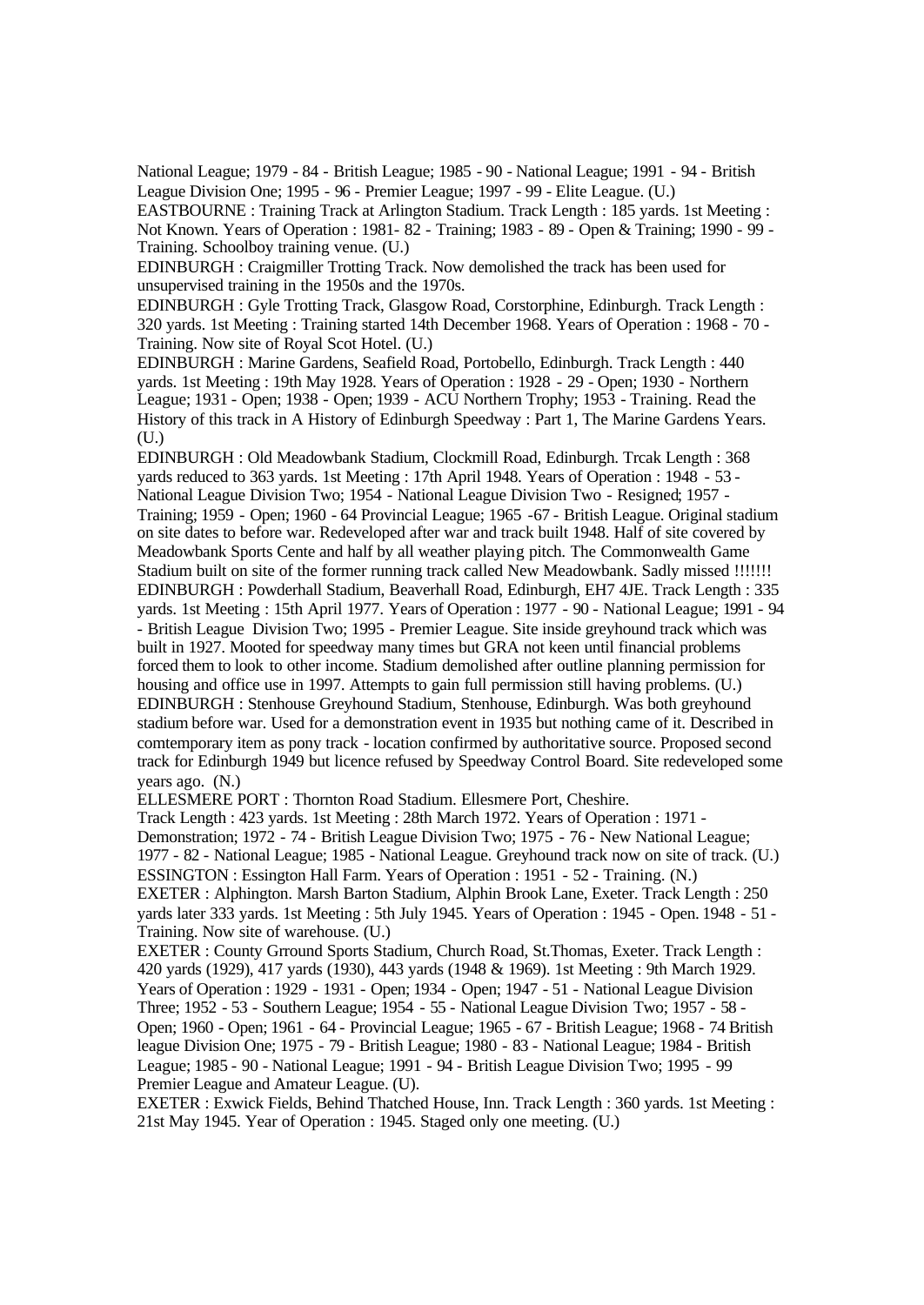National League; 1979 - 84 - British League; 1985 - 90 - National League; 1991 - 94 - British League Division One; 1995 - 96 - Premier League; 1997 - 99 - Elite League. (U.)

EASTBOURNE : Training Track at Arlington Stadium. Track Length : 185 yards. 1st Meeting : Not Known. Years of Operation : 1981- 82 - Training; 1983 - 89 - Open & Training; 1990 - 99 - Training. Schoolboy training venue. (U.)

EDINBURGH : Craigmiller Trotting Track. Now demolished the track has been used for unsupervised training in the 1950s and the 1970s.

EDINBURGH : Gyle Trotting Track, Glasgow Road, Corstorphine, Edinburgh. Track Length : 320 yards. 1st Meeting : Training started 14th December 1968. Years of Operation : 1968 - 70 - Training. Now site of Royal Scot Hotel. (U.)

EDINBURGH : Marine Gardens, Seafield Road, Portobello, Edinburgh. Track Length : 440 yards. 1st Meeting : 19th May 1928. Years of Operation : 1928 - 29 - Open; 1930 - Northern League; 1931 - Open; 1938 - Open; 1939 - ACU Northern Trophy; 1953 - Training. Read the History of this track in A History of Edinburgh Speedway : Part 1, The Marine Gardens Years. (U.)

EDINBURGH : Old Meadowbank Stadium, Clockmill Road, Edinburgh. Trcak Length : 368 yards reduced to 363 yards. 1st Meeting : 17th April 1948. Years of Operation : 1948 - 53 - National League Division Two; 1954 - National League Division Two - Resigned; 1957 - Training; 1959 - Open; 1960 - 64 Provincial League; 1965 -67 - British League. Original stadium on site dates to before war. Redeveloped after war and track built 1948. Half of site covered by Meadowbank Sports Cente and half by all weather playing pitch. The Commonwealth Game Stadium built on site of the former running track called New Meadowbank. Sadly missed !!!!!!! EDINBURGH : Powderhall Stadium, Beaverhall Road, Edinburgh, EH7 4JE. Track Length : 335 yards. 1st Meeting : 15th April 1977. Years of Operation : 1977 - 90 - National League; 1991 - 94 - British League Division Two; 1995 - Premier League. Site inside greyhound track which was built in 1927. Mooted for speedway many times but GRA not keen until financial problems forced them to look to other income. Stadium demolished after outline planning permission for housing and office use in 1997. Attempts to gain full permission still having problems. (U.) EDINBURGH : Stenhouse Greyhound Stadium, Stenhouse, Edinburgh. Was both greyhound stadium before war. Used for a demonstration event in 1935 but nothing came of it. Described in comtemporary item as pony track - location confirmed by authoritative source. Proposed second track for Edinburgh 1949 but licence refused by Speedway Control Board. Site redeveloped some years ago. (N.)

ELLESMERE PORT : Thornton Road Stadium. Ellesmere Port, Cheshire.

Track Length : 423 yards. 1st Meeting : 28th March 1972. Years of Operation : 1971 - Demonstration; 1972 - 74 - British League Division Two; 1975 - 76 - New National League; 1977 - 82 - National League; 1985 - National League. Greyhound track now on site of track. (U.) ESSINGTON : Essington Hall Farm. Years of Operation : 1951 - 52 - Training. (N.) EXETER : Alphington. Marsh Barton Stadium, Alphin Brook Lane, Exeter. Track Length : 250 yards later 333 yards. 1st Meeting : 5th July 1945. Years of Operation : 1945 - Open. 1948 - 51 - Training. Now site of warehouse. (U.)

EXETER : County Grround Sports Stadium, Church Road, St.Thomas, Exeter. Track Length : 420 yards (1929), 417 yards (1930), 443 yards (1948 & 1969). 1st Meeting : 9th March 1929. Years of Operation : 1929 - 1931 - Open; 1934 - Open; 1947 - 51 - National League Division Three; 1952 - 53 - Southern League; 1954 - 55 - National League Division Two; 1957 - 58 - Open; 1960 - Open; 1961 - 64 - Provincial League; 1965 - 67 - British League; 1968 - 74 British league Division One; 1975 - 79 - British League; 1980 - 83 - National League; 1984 - British League; 1985 - 90 - National League; 1991 - 94 - British League Division Two; 1995 - 99 Premier League and Amateur League. (U).

EXETER : Exwick Fields, Behind Thatched House, Inn. Track Length : 360 yards. 1st Meeting : 21st May 1945. Year of Operation : 1945. Staged only one meeting. (U.)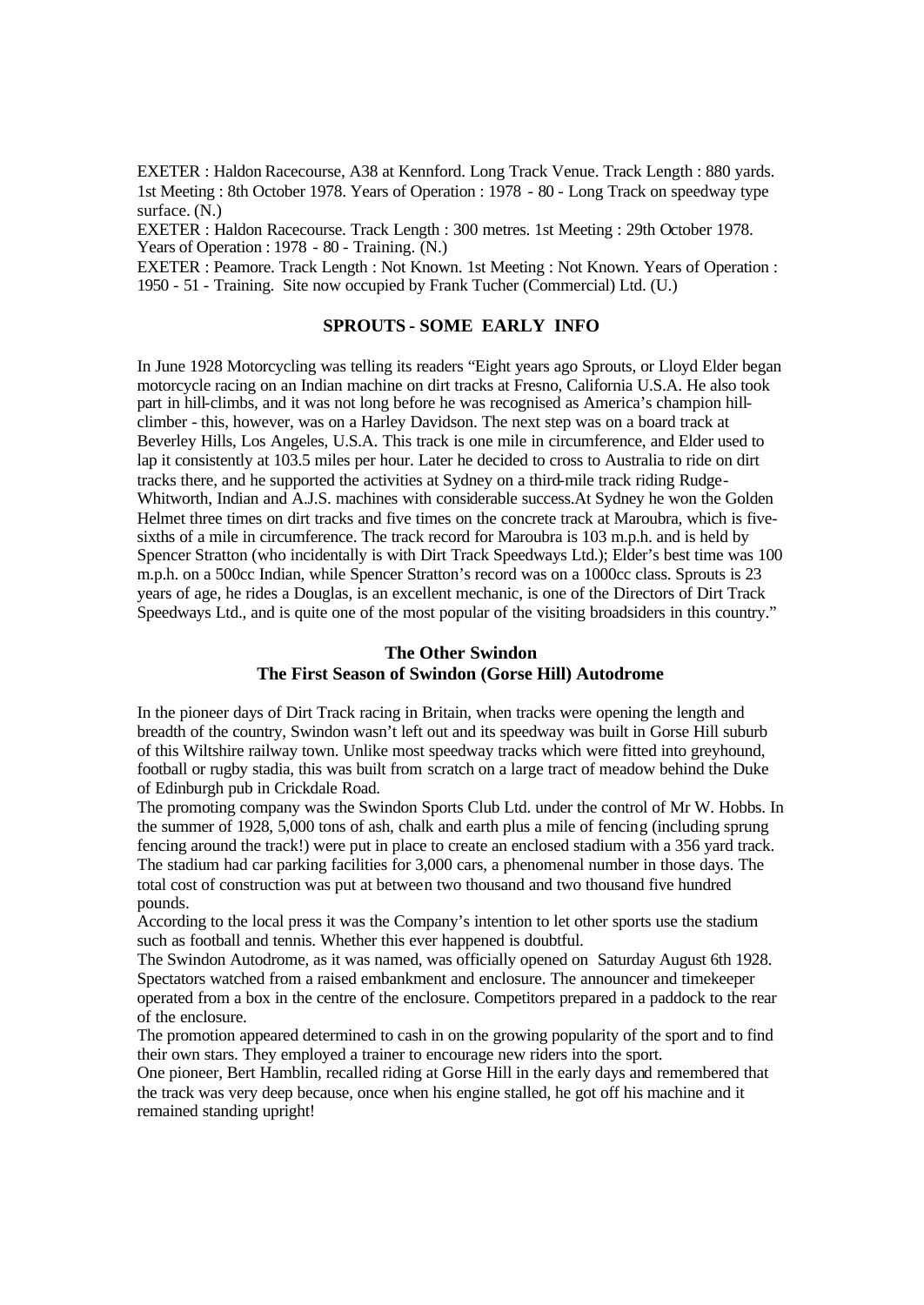EXETER : Haldon Racecourse, A38 at Kennford. Long Track Venue. Track Length : 880 yards. 1st Meeting : 8th October 1978. Years of Operation : 1978 - 80 - Long Track on speedway type surface. (N.)

EXETER : Haldon Racecourse. Track Length : 300 metres. 1st Meeting : 29th October 1978. Years of Operation : 1978 - 80 - Training. (N.)

EXETER : Peamore. Track Length : Not Known. 1st Meeting : Not Known. Years of Operation : 1950 - 51 - Training. Site now occupied by Frank Tucher (Commercial) Ltd. (U.)

## **SPROUTS - SOME EARLY INFO**

In June 1928 Motorcycling was telling its readers "Eight years ago Sprouts, or Lloyd Elder began motorcycle racing on an Indian machine on dirt tracks at Fresno, California U.S.A. He also took part in hill-climbs, and it was not long before he was recognised as America's champion hillclimber - this, however, was on a Harley Davidson. The next step was on a board track at Beverley Hills, Los Angeles, U.S.A. This track is one mile in circumference, and Elder used to lap it consistently at 103.5 miles per hour. Later he decided to cross to Australia to ride on dirt tracks there, and he supported the activities at Sydney on a third-mile track riding Rudge-Whitworth, Indian and A.J.S. machines with considerable success.At Sydney he won the Golden Helmet three times on dirt tracks and five times on the concrete track at Maroubra, which is fivesixths of a mile in circumference. The track record for Maroubra is 103 m.p.h. and is held by Spencer Stratton (who incidentally is with Dirt Track Speedways Ltd.); Elder's best time was 100 m.p.h. on a 500cc Indian, while Spencer Stratton's record was on a 1000cc class. Sprouts is 23 years of age, he rides a Douglas, is an excellent mechanic, is one of the Directors of Dirt Track Speedways Ltd., and is quite one of the most popular of the visiting broadsiders in this country."

## **The Other Swindon The First Season of Swindon (Gorse Hill) Autodrome**

In the pioneer days of Dirt Track racing in Britain, when tracks were opening the length and breadth of the country, Swindon wasn't left out and its speedway was built in Gorse Hill suburb of this Wiltshire railway town. Unlike most speedway tracks which were fitted into greyhound, football or rugby stadia, this was built from scratch on a large tract of meadow behind the Duke of Edinburgh pub in Crickdale Road.

The promoting company was the Swindon Sports Club Ltd. under the control of Mr W. Hobbs. In the summer of 1928, 5,000 tons of ash, chalk and earth plus a mile of fencing (including sprung fencing around the track!) were put in place to create an enclosed stadium with a 356 yard track. The stadium had car parking facilities for 3,000 cars, a phenomenal number in those days. The total cost of construction was put at between two thousand and two thousand five hundred pounds.

According to the local press it was the Company's intention to let other sports use the stadium such as football and tennis. Whether this ever happened is doubtful.

The Swindon Autodrome, as it was named, was officially opened on Saturday August 6th 1928. Spectators watched from a raised embankment and enclosure. The announcer and timekeeper operated from a box in the centre of the enclosure. Competitors prepared in a paddock to the rear of the enclosure.

The promotion appeared determined to cash in on the growing popularity of the sport and to find their own stars. They employed a trainer to encourage new riders into the sport.

One pioneer, Bert Hamblin, recalled riding at Gorse Hill in the early days and remembered that the track was very deep because, once when his engine stalled, he got off his machine and it remained standing upright!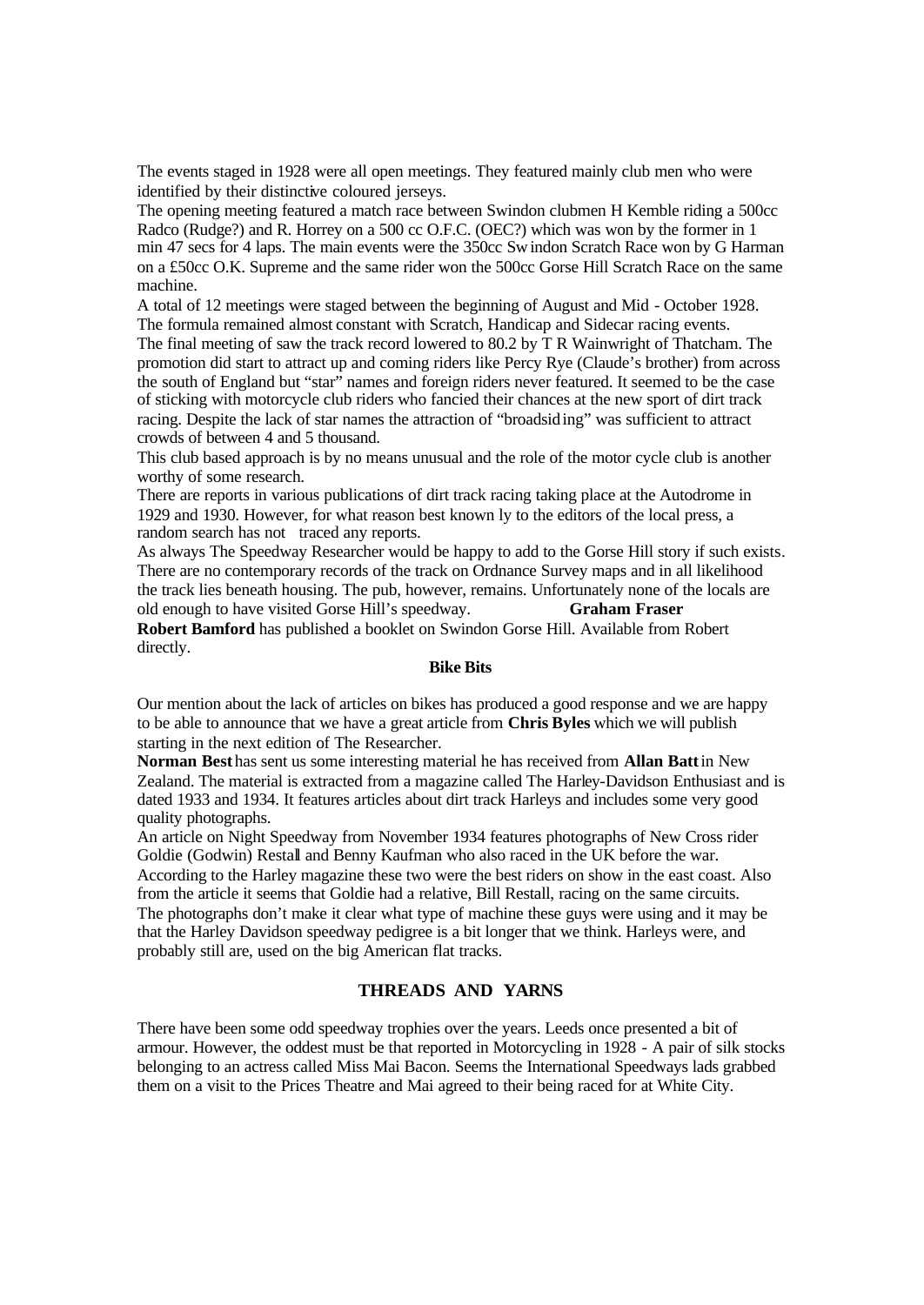The events staged in 1928 were all open meetings. They featured mainly club men who were identified by their distinctive coloured jerseys.

The opening meeting featured a match race between Swindon clubmen H Kemble riding a 500cc Radco (Rudge?) and R. Horrey on a 500 cc O.F.C. (OEC?) which was won by the former in 1 min 47 secs for 4 laps. The main events were the 350cc Swindon Scratch Race won by G Harman on a £50cc O.K. Supreme and the same rider won the 500cc Gorse Hill Scratch Race on the same machine.

A total of 12 meetings were staged between the beginning of August and Mid - October 1928. The formula remained almost constant with Scratch, Handicap and Sidecar racing events.

The final meeting of saw the track record lowered to 80.2 by T R Wainwright of Thatcham. The promotion did start to attract up and coming riders like Percy Rye (Claude's brother) from across the south of England but "star" names and foreign riders never featured. It seemed to be the case of sticking with motorcycle club riders who fancied their chances at the new sport of dirt track racing. Despite the lack of star names the attraction of "broadsiding" was sufficient to attract crowds of between 4 and 5 thousand.

This club based approach is by no means unusual and the role of the motor cycle club is another worthy of some research.

There are reports in various publications of dirt track racing taking place at the Autodrome in 1929 and 1930. However, for what reason best known ly to the editors of the local press, a random search has not traced any reports.

As always The Speedway Researcher would be happy to add to the Gorse Hill story if such exists. There are no contemporary records of the track on Ordnance Survey maps and in all likelihood the track lies beneath housing. The pub, however, remains. Unfortunately none of the locals are old enough to have visited Gorse Hill's speedway. **Graham Fraser**

**Robert Bamford** has published a booklet on Swindon Gorse Hill. Available from Robert directly.

#### **Bike Bits**

Our mention about the lack of articles on bikes has produced a good response and we are happy to be able to announce that we have a great article from **Chris Byles** which we will publish starting in the next edition of The Researcher.

**Norman Best** has sent us some interesting material he has received from **Allan Batt**in New Zealand. The material is extracted from a magazine called The Harley-Davidson Enthusiast and is dated 1933 and 1934. It features articles about dirt track Harleys and includes some very good quality photographs.

An article on Night Speedway from November 1934 features photographs of New Cross rider Goldie (Godwin) Restall and Benny Kaufman who also raced in the UK before the war. According to the Harley magazine these two were the best riders on show in the east coast. Also from the article it seems that Goldie had a relative, Bill Restall, racing on the same circuits. The photographs don't make it clear what type of machine these guys were using and it may be that the Harley Davidson speedway pedigree is a bit longer that we think. Harleys were, and probably still are, used on the big American flat tracks.

## **THREADS AND YARNS**

There have been some odd speedway trophies over the years. Leeds once presented a bit of armour. However, the oddest must be that reported in Motorcycling in 1928 - A pair of silk stocks belonging to an actress called Miss Mai Bacon. Seems the International Speedways lads grabbed them on a visit to the Prices Theatre and Mai agreed to their being raced for at White City.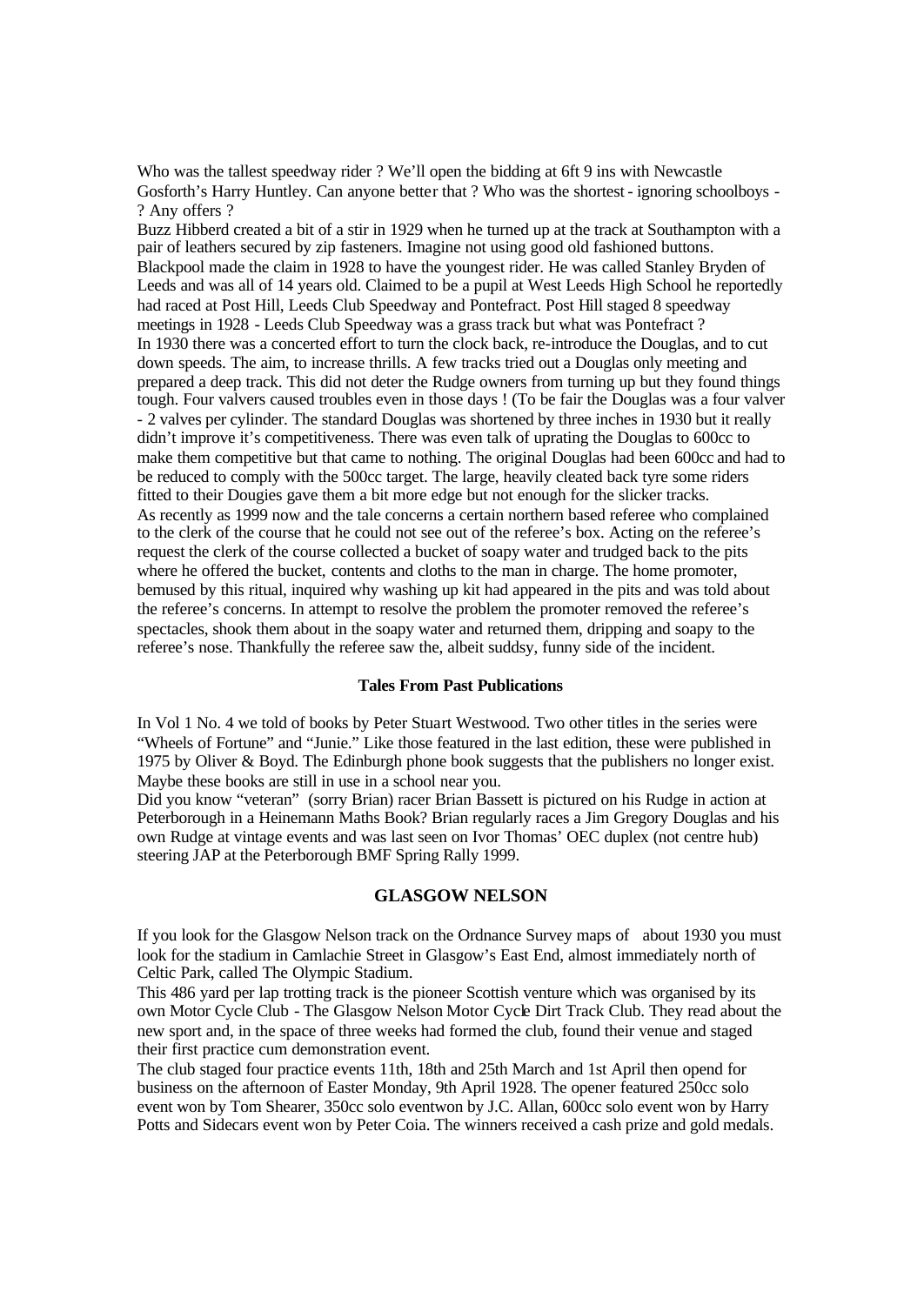Who was the tallest speedway rider ? We'll open the bidding at 6ft 9 ins with Newcastle Gosforth's Harry Huntley. Can anyone better that ? Who was the shortest - ignoring schoolboys - ? Any offers ?

Buzz Hibberd created a bit of a stir in 1929 when he turned up at the track at Southampton with a pair of leathers secured by zip fasteners. Imagine not using good old fashioned buttons. Blackpool made the claim in 1928 to have the youngest rider. He was called Stanley Bryden of Leeds and was all of 14 years old. Claimed to be a pupil at West Leeds High School he reportedly had raced at Post Hill, Leeds Club Speedway and Pontefract. Post Hill staged 8 speedway meetings in 1928 - Leeds Club Speedway was a grass track but what was Pontefract ? In 1930 there was a concerted effort to turn the clock back, re-introduce the Douglas, and to cut down speeds. The aim, to increase thrills. A few tracks tried out a Douglas only meeting and prepared a deep track. This did not deter the Rudge owners from turning up but they found things tough. Four valvers caused troubles even in those days ! (To be fair the Douglas was a four valver - 2 valves per cylinder. The standard Douglas was shortened by three inches in 1930 but it really didn't improve it's competitiveness. There was even talk of uprating the Douglas to 600cc to make them competitive but that came to nothing. The original Douglas had been 600cc and had to be reduced to comply with the 500cc target. The large, heavily cleated back tyre some riders fitted to their Dougies gave them a bit more edge but not enough for the slicker tracks. As recently as 1999 now and the tale concerns a certain northern based referee who complained to the clerk of the course that he could not see out of the referee's box. Acting on the referee's request the clerk of the course collected a bucket of soapy water and trudged back to the pits where he offered the bucket, contents and cloths to the man in charge. The home promoter, bemused by this ritual, inquired why washing up kit had appeared in the pits and was told about the referee's concerns. In attempt to resolve the problem the promoter removed the referee's spectacles, shook them about in the soapy water and returned them, dripping and soapy to the referee's nose. Thankfully the referee saw the, albeit suddsy, funny side of the incident.

#### **Tales From Past Publications**

In Vol 1 No. 4 we told of books by Peter Stuart Westwood. Two other titles in the series were "Wheels of Fortune" and "Junie." Like those featured in the last edition, these were published in 1975 by Oliver & Boyd. The Edinburgh phone book suggests that the publishers no longer exist. Maybe these books are still in use in a school near you.

Did you know "veteran" (sorry Brian) racer Brian Bassett is pictured on his Rudge in action at Peterborough in a Heinemann Maths Book? Brian regularly races a Jim Gregory Douglas and his own Rudge at vintage events and was last seen on Ivor Thomas' OEC duplex (not centre hub) steering JAP at the Peterborough BMF Spring Rally 1999.

## **GLASGOW NELSON**

If you look for the Glasgow Nelson track on the Ordnance Survey maps of about 1930 you must look for the stadium in Camlachie Street in Glasgow's East End, almost immediately north of Celtic Park, called The Olympic Stadium.

This 486 yard per lap trotting track is the pioneer Scottish venture which was organised by its own Motor Cycle Club - The Glasgow Nelson Motor Cycle Dirt Track Club. They read about the new sport and, in the space of three weeks had formed the club, found their venue and staged their first practice cum demonstration event.

The club staged four practice events 11th, 18th and 25th March and 1st April then opend for business on the afternoon of Easter Monday, 9th April 1928. The opener featured 250cc solo event won by Tom Shearer, 350cc solo eventwon by J.C. Allan, 600cc solo event won by Harry Potts and Sidecars event won by Peter Coia. The winners received a cash prize and gold medals.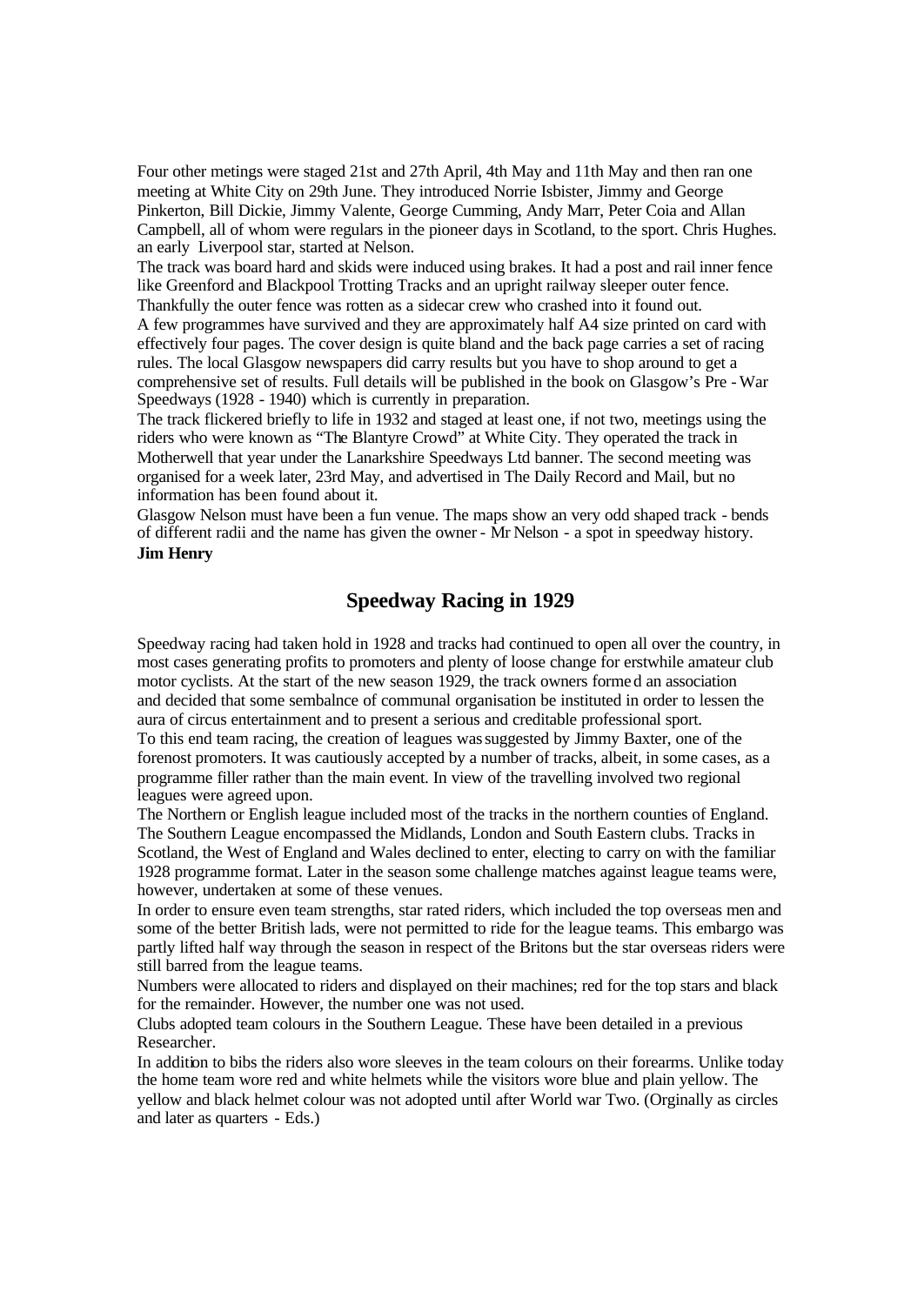Four other metings were staged 21st and 27th April, 4th May and 11th May and then ran one meeting at White City on 29th June. They introduced Norrie Isbister, Jimmy and George Pinkerton, Bill Dickie, Jimmy Valente, George Cumming, Andy Marr, Peter Coia and Allan Campbell, all of whom were regulars in the pioneer days in Scotland, to the sport. Chris Hughes. an early Liverpool star, started at Nelson.

The track was board hard and skids were induced using brakes. It had a post and rail inner fence like Greenford and Blackpool Trotting Tracks and an upright railway sleeper outer fence. Thankfully the outer fence was rotten as a sidecar crew who crashed into it found out.

A few programmes have survived and they are approximately half A4 size printed on card with effectively four pages. The cover design is quite bland and the back page carries a set of racing rules. The local Glasgow newspapers did carry results but you have to shop around to get a comprehensive set of results. Full details will be published in the book on Glasgow's Pre -War Speedways (1928 - 1940) which is currently in preparation.

The track flickered briefly to life in 1932 and staged at least one, if not two, meetings using the riders who were known as "The Blantyre Crowd" at White City. They operated the track in Motherwell that year under the Lanarkshire Speedways Ltd banner. The second meeting was organised for a week later, 23rd May, and advertised in The Daily Record and Mail, but no information has been found about it.

Glasgow Nelson must have been a fun venue. The maps show an very odd shaped track - bends of different radii and the name has given the owner - Mr Nelson - a spot in speedway history. **Jim Henry**

# **Speedway Racing in 1929**

Speedway racing had taken hold in 1928 and tracks had continued to open all over the country, in most cases generating profits to promoters and plenty of loose change for erstwhile amateur club motor cyclists. At the start of the new season 1929, the track owners formed an association and decided that some sembalnce of communal organisation be instituted in order to lessen the aura of circus entertainment and to present a serious and creditable professional sport.

To this end team racing, the creation of leagues wassuggested by Jimmy Baxter, one of the forenost promoters. It was cautiously accepted by a number of tracks, albeit, in some cases, as a programme filler rather than the main event. In view of the travelling involved two regional leagues were agreed upon.

The Northern or English league included most of the tracks in the northern counties of England. The Southern League encompassed the Midlands, London and South Eastern clubs. Tracks in Scotland, the West of England and Wales declined to enter, electing to carry on with the familiar 1928 programme format. Later in the season some challenge matches against league teams were, however, undertaken at some of these venues.

In order to ensure even team strengths, star rated riders, which included the top overseas men and some of the better British lads, were not permitted to ride for the league teams. This embargo was partly lifted half way through the season in respect of the Britons but the star overseas riders were still barred from the league teams.

Numbers were allocated to riders and displayed on their machines; red for the top stars and black for the remainder. However, the number one was not used.

Clubs adopted team colours in the Southern League. These have been detailed in a previous Researcher.

In addition to bibs the riders also wore sleeves in the team colours on their forearms. Unlike today the home team wore red and white helmets while the visitors wore blue and plain yellow. The yellow and black helmet colour was not adopted until after World war Two. (Orginally as circles and later as quarters - Eds.)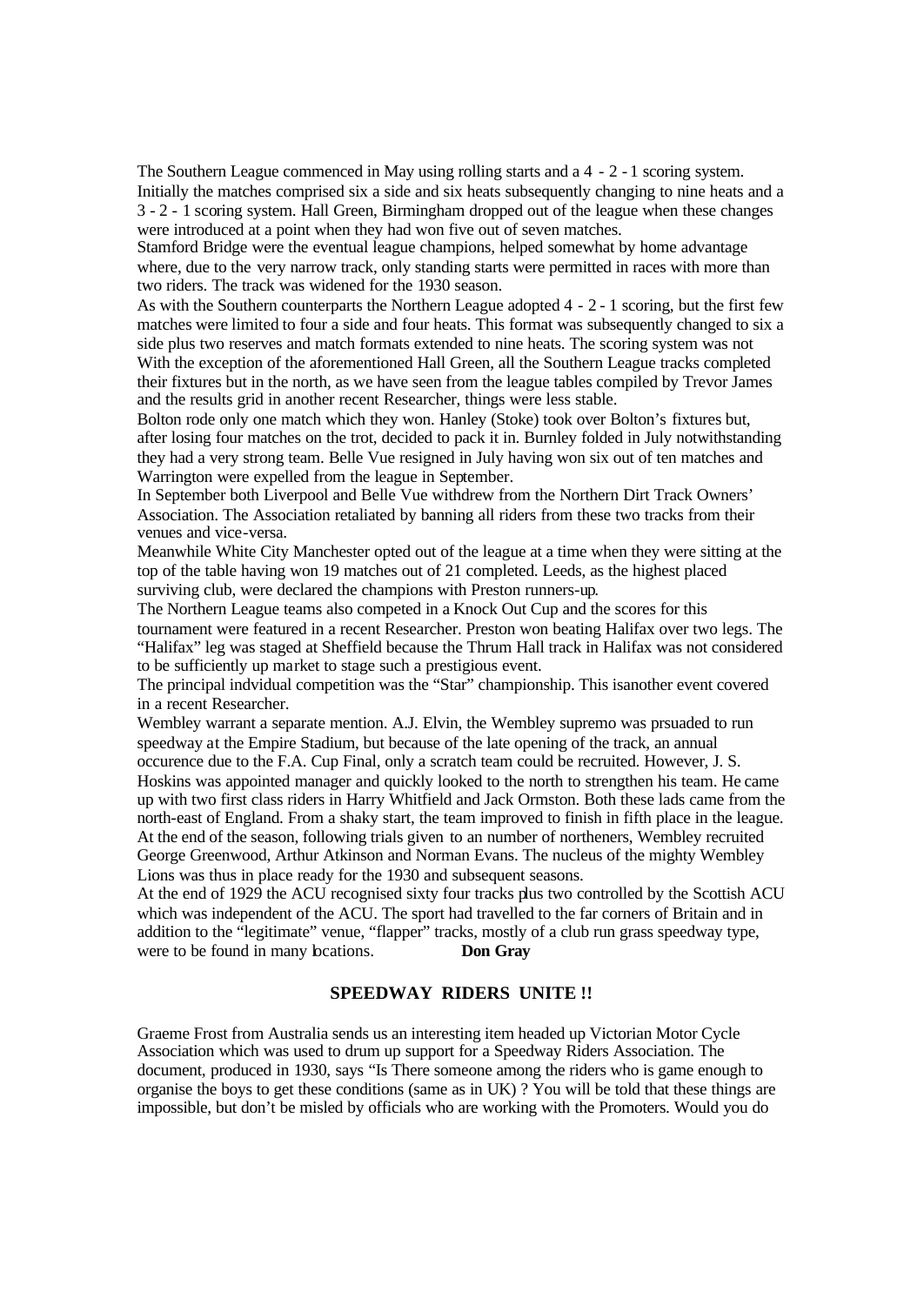The Southern League commenced in May using rolling starts and a 4 - 2 - 1 scoring system. Initially the matches comprised six a side and six heats subsequently changing to nine heats and a 3 - 2 - 1 scoring system. Hall Green, Birmingham dropped out of the league when these changes were introduced at a point when they had won five out of seven matches.

Stamford Bridge were the eventual league champions, helped somewhat by home advantage where, due to the very narrow track, only standing starts were permitted in races with more than two riders. The track was widened for the 1930 season.

As with the Southern counterparts the Northern League adopted 4 - 2 - 1 scoring, but the first few matches were limited to four a side and four heats. This format was subsequently changed to six a side plus two reserves and match formats extended to nine heats. The scoring system was not With the exception of the aforementioned Hall Green, all the Southern League tracks completed their fixtures but in the north, as we have seen from the league tables compiled by Trevor James and the results grid in another recent Researcher, things were less stable.

Bolton rode only one match which they won. Hanley (Stoke) took over Bolton's fixtures but, after losing four matches on the trot, decided to pack it in. Burnley folded in July notwithstanding they had a very strong team. Belle Vue resigned in July having won six out of ten matches and Warrington were expelled from the league in September.

In September both Liverpool and Belle Vue withdrew from the Northern Dirt Track Owners' Association. The Association retaliated by banning all riders from these two tracks from their venues and vice-versa.

Meanwhile White City Manchester opted out of the league at a time when they were sitting at the top of the table having won 19 matches out of 21 completed. Leeds, as the highest placed surviving club, were declared the champions with Preston runners-up.

The Northern League teams also competed in a Knock Out Cup and the scores for this tournament were featured in a recent Researcher. Preston won beating Halifax over two legs. The "Halifax" leg was staged at Sheffield because the Thrum Hall track in Halifax was not considered to be sufficiently up market to stage such a prestigious event.

The principal indvidual competition was the "Star" championship. This isanother event covered in a recent Researcher.

Wembley warrant a separate mention. A.J. Elvin, the Wembley supremo was prsuaded to run speedway at the Empire Stadium, but because of the late opening of the track, an annual occurence due to the F.A. Cup Final, only a scratch team could be recruited. However, J. S. Hoskins was appointed manager and quickly looked to the north to strengthen his team. He came up with two first class riders in Harry Whitfield and Jack Ormston. Both these lads came from the north-east of England. From a shaky start, the team improved to finish in fifth place in the league. At the end of the season, following trials given to an number of northeners, Wembley recruited George Greenwood, Arthur Atkinson and Norman Evans. The nucleus of the mighty Wembley Lions was thus in place ready for the 1930 and subsequent seasons.

At the end of 1929 the ACU recognised sixty four tracks plus two controlled by the Scottish ACU which was independent of the ACU. The sport had travelled to the far corners of Britain and in addition to the "legitimate" venue, "flapper" tracks, mostly of a club run grass speedway type, were to be found in many bcations. **Don Gray** 

## **SPEEDWAY RIDERS UNITE !!**

Graeme Frost from Australia sends us an interesting item headed up Victorian Motor Cycle Association which was used to drum up support for a Speedway Riders Association. The document, produced in 1930, says "Is There someone among the riders who is game enough to organise the boys to get these conditions (same as in UK) ? You will be told that these things are impossible, but don't be misled by officials who are working with the Promoters. Would you do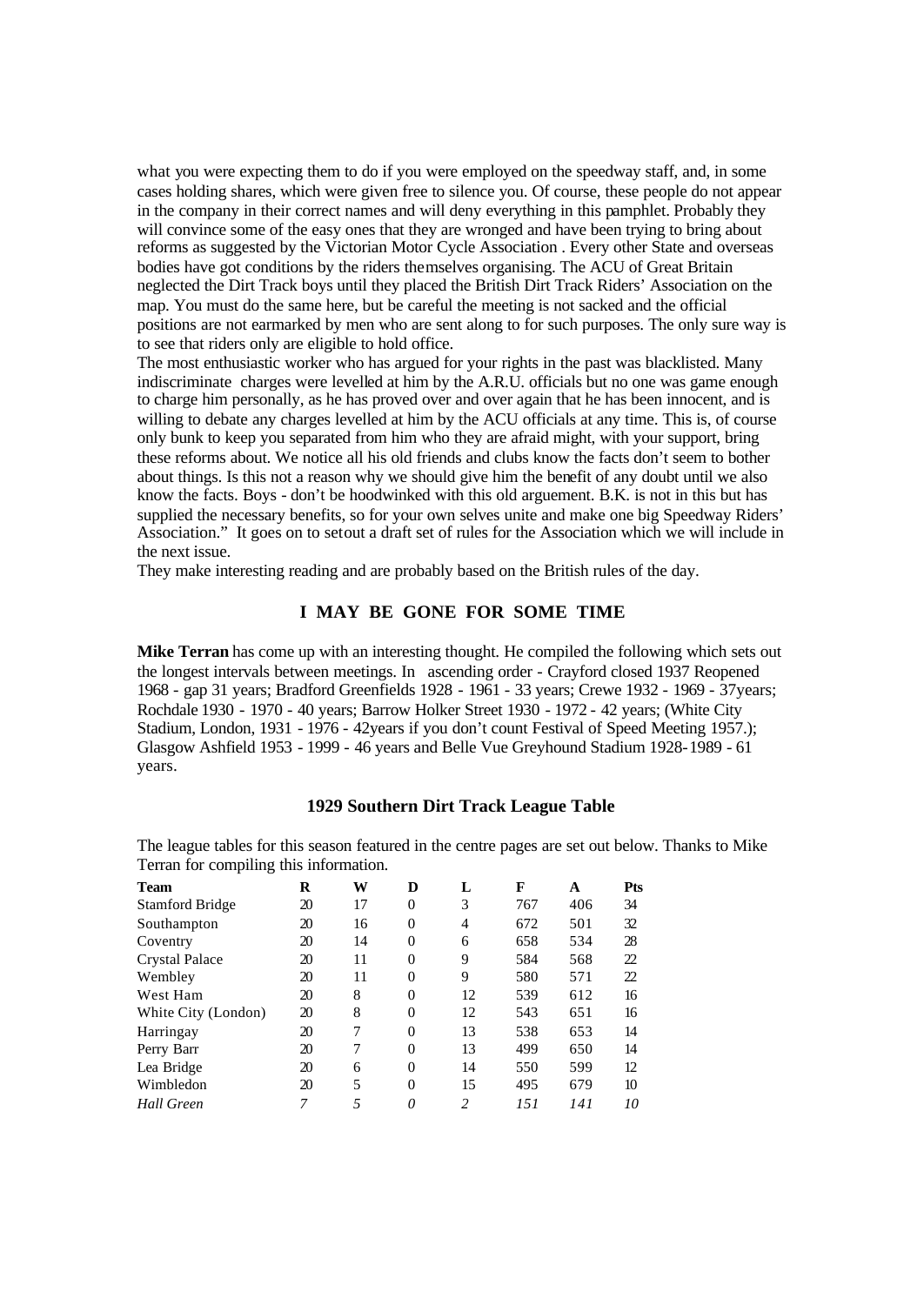what you were expecting them to do if you were employed on the speedway staff, and, in some cases holding shares, which were given free to silence you. Of course, these people do not appear in the company in their correct names and will deny everything in this pamphlet. Probably they will convince some of the easy ones that they are wronged and have been trying to bring about reforms as suggested by the Victorian Motor Cycle Association . Every other State and overseas bodies have got conditions by the riders themselves organising. The ACU of Great Britain neglected the Dirt Track boys until they placed the British Dirt Track Riders' Association on the map. You must do the same here, but be careful the meeting is not sacked and the official positions are not earmarked by men who are sent along to for such purposes. The only sure way is to see that riders only are eligible to hold office.

The most enthusiastic worker who has argued for your rights in the past was blacklisted. Many indiscriminate charges were levelled at him by the A.R.U. officials but no one was game enough to charge him personally, as he has proved over and over again that he has been innocent, and is willing to debate any charges levelled at him by the ACU officials at any time. This is, of course only bunk to keep you separated from him who they are afraid might, with your support, bring these reforms about. We notice all his old friends and clubs know the facts don't seem to bother about things. Is this not a reason why we should give him the benefit of any doubt until we also know the facts. Boys - don't be hoodwinked with this old arguement. B.K. is not in this but has supplied the necessary benefits, so for your own selves unite and make one big Speedway Riders' Association." It goes on to setout a draft set of rules for the Association which we will include in the next issue.

They make interesting reading and are probably based on the British rules of the day.

## **I MAY BE GONE FOR SOME TIME**

**Mike Terran** has come up with an interesting thought. He compiled the following which sets out the longest intervals between meetings. In ascending order - Crayford closed 1937 Reopened 1968 - gap 31 years; Bradford Greenfields 1928 - 1961 - 33 years; Crewe 1932 - 1969 - 37years; Rochdale 1930 - 1970 - 40 years; Barrow Holker Street 1930 - 1972 - 42 years; (White City Stadium, London, 1931 - 1976 - 42years if you don't count Festival of Speed Meeting 1957.); Glasgow Ashfield 1953 - 1999 - 46 years and Belle Vue Greyhound Stadium 1928-1989 - 61 years.

## **1929 Southern Dirt Track League Table**

The league tables for this season featured in the centre pages are set out below. Thanks to Mike Terran for compiling this information.

| <b>Team</b>            | R  | W  | D              | L  | F   | A   | <b>Pts</b> |
|------------------------|----|----|----------------|----|-----|-----|------------|
| <b>Stamford Bridge</b> | 20 | 17 | $\theta$       | 3  | 767 | 406 | 34         |
| Southampton            | 20 | 16 | $\theta$       | 4  | 672 | 501 | 32         |
| Coventry               | 20 | 14 | $\theta$       | 6  | 658 | 534 | 28         |
| <b>Crystal Palace</b>  | 20 | 11 | $\theta$       | 9  | 584 | 568 | 22         |
| Wembley                | 20 | 11 | $\theta$       | 9  | 580 | 571 | 22         |
| West Ham               | 20 | 8  | $\theta$       | 12 | 539 | 612 | 16         |
| White City (London)    | 20 | 8  | $\theta$       | 12 | 543 | 651 | 16         |
| Harringay              | 20 | 7  | $\overline{0}$ | 13 | 538 | 653 | 14         |
| Perry Barr             | 20 | 7  | $\overline{0}$ | 13 | 499 | 650 | 14         |
| Lea Bridge             | 20 | 6  | $\theta$       | 14 | 550 | 599 | 12         |
| Wimbledon              | 20 | 5  | $\theta$       | 15 | 495 | 679 | 10         |
| <b>Hall Green</b>      | 7  | 5  | 0              | 2  | 151 | 141 | 10         |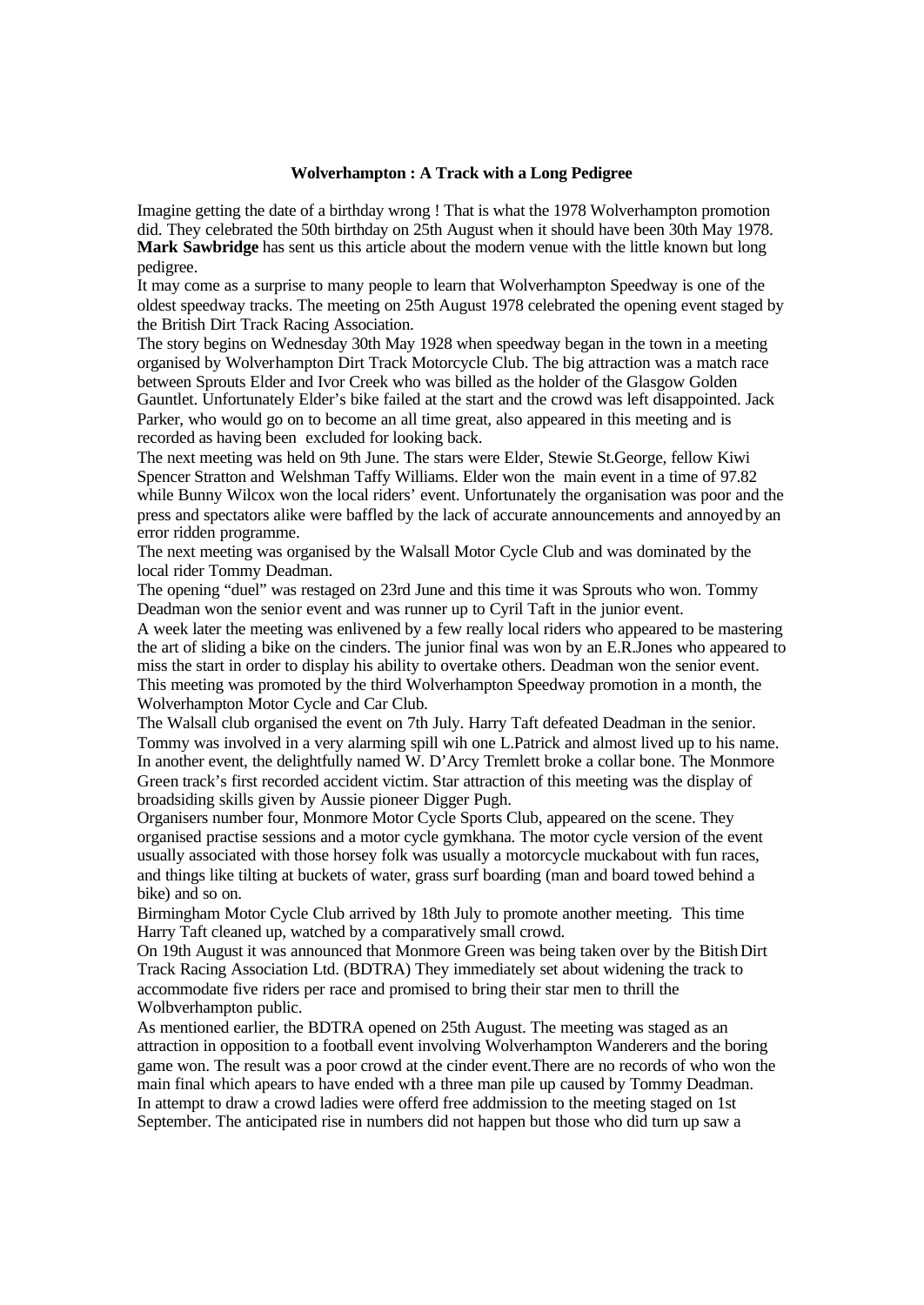#### **Wolverhampton : A Track with a Long Pedigree**

Imagine getting the date of a birthday wrong ! That is what the 1978 Wolverhampton promotion did. They celebrated the 50th birthday on 25th August when it should have been 30th May 1978. **Mark Sawbridge** has sent us this article about the modern venue with the little known but long pedigree.

It may come as a surprise to many people to learn that Wolverhampton Speedway is one of the oldest speedway tracks. The meeting on 25th August 1978 celebrated the opening event staged by the British Dirt Track Racing Association.

The story begins on Wednesday 30th May 1928 when speedway began in the town in a meeting organised by Wolverhampton Dirt Track Motorcycle Club. The big attraction was a match race between Sprouts Elder and Ivor Creek who was billed as the holder of the Glasgow Golden Gauntlet. Unfortunately Elder's bike failed at the start and the crowd was left disappointed. Jack Parker, who would go on to become an all time great, also appeared in this meeting and is recorded as having been excluded for looking back.

The next meeting was held on 9th June. The stars were Elder, Stewie St.George, fellow Kiwi Spencer Stratton and Welshman Taffy Williams. Elder won the main event in a time of 97.82 while Bunny Wilcox won the local riders' event. Unfortunately the organisation was poor and the press and spectators alike were baffled by the lack of accurate announcements and annoyed by an error ridden programme.

The next meeting was organised by the Walsall Motor Cycle Club and was dominated by the local rider Tommy Deadman.

The opening "duel" was restaged on 23rd June and this time it was Sprouts who won. Tommy Deadman won the senior event and was runner up to Cyril Taft in the junior event.

A week later the meeting was enlivened by a few really local riders who appeared to be mastering the art of sliding a bike on the cinders. The junior final was won by an E.R.Jones who appeared to miss the start in order to display his ability to overtake others. Deadman won the senior event. This meeting was promoted by the third Wolverhampton Speedway promotion in a month, the Wolverhampton Motor Cycle and Car Club.

The Walsall club organised the event on 7th July. Harry Taft defeated Deadman in the senior. Tommy was involved in a very alarming spill wih one L.Patrick and almost lived up to his name. In another event, the delightfully named W. D'Arcy Tremlett broke a collar bone. The Monmore Green track's first recorded accident victim. Star attraction of this meeting was the display of broadsiding skills given by Aussie pioneer Digger Pugh.

Organisers number four, Monmore Motor Cycle Sports Club, appeared on the scene. They organised practise sessions and a motor cycle gymkhana. The motor cycle version of the event usually associated with those horsey folk was usually a motorcycle muckabout with fun races, and things like tilting at buckets of water, grass surf boarding (man and board towed behind a bike) and so on.

Birmingham Motor Cycle Club arrived by 18th July to promote another meeting. This time Harry Taft cleaned up, watched by a comparatively small crowd.

On 19th August it was announced that Monmore Green was being taken over by the BitishDirt Track Racing Association Ltd. (BDTRA) They immediately set about widening the track to accommodate five riders per race and promised to bring their star men to thrill the Wolbverhampton public.

As mentioned earlier, the BDTRA opened on 25th August. The meeting was staged as an attraction in opposition to a football event involving Wolverhampton Wanderers and the boring game won. The result was a poor crowd at the cinder event.There are no records of who won the main final which apears to have ended with a three man pile up caused by Tommy Deadman. In attempt to draw a crowd ladies were offerd free addmission to the meeting staged on 1st September. The anticipated rise in numbers did not happen but those who did turn up saw a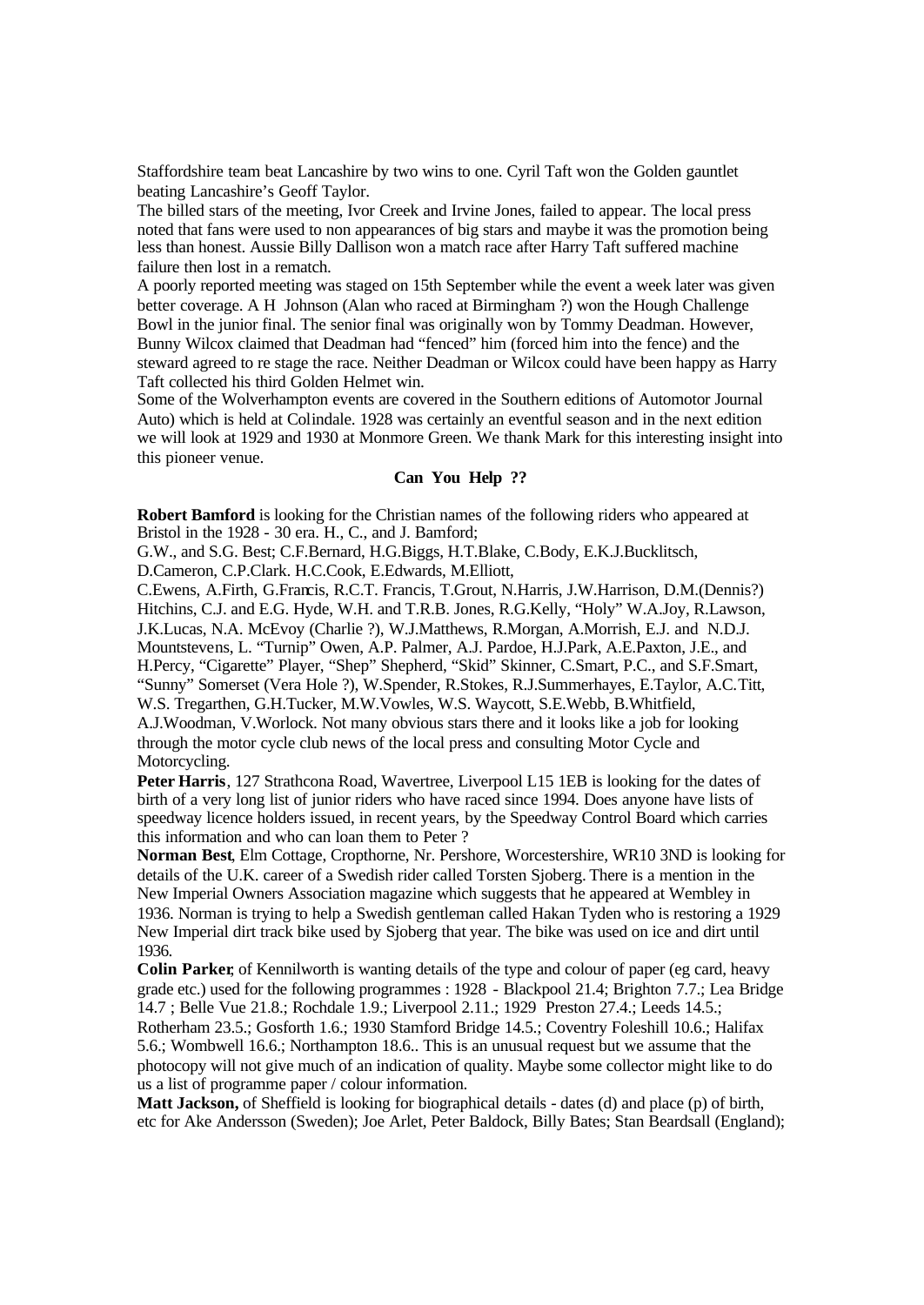Staffordshire team beat Lancashire by two wins to one. Cyril Taft won the Golden gauntlet beating Lancashire's Geoff Taylor.

The billed stars of the meeting, Ivor Creek and Irvine Jones, failed to appear. The local press noted that fans were used to non appearances of big stars and maybe it was the promotion being less than honest. Aussie Billy Dallison won a match race after Harry Taft suffered machine failure then lost in a rematch.

A poorly reported meeting was staged on 15th September while the event a week later was given better coverage. A H Johnson (Alan who raced at Birmingham ?) won the Hough Challenge Bowl in the junior final. The senior final was originally won by Tommy Deadman. However, Bunny Wilcox claimed that Deadman had "fenced" him (forced him into the fence) and the steward agreed to re stage the race. Neither Deadman or Wilcox could have been happy as Harry Taft collected his third Golden Helmet win.

Some of the Wolverhampton events are covered in the Southern editions of Automotor Journal Auto) which is held at Colindale. 1928 was certainly an eventful season and in the next edition we will look at 1929 and 1930 at Monmore Green. We thank Mark for this interesting insight into this pioneer venue.

#### **Can You Help ??**

**Robert Bamford** is looking for the Christian names of the following riders who appeared at Bristol in the 1928 - 30 era. H., C., and J. Bamford;

G.W., and S.G. Best; C.F.Bernard, H.G.Biggs, H.T.Blake, C.Body, E.K.J.Bucklitsch,

D.Cameron, C.P.Clark. H.C.Cook, E.Edwards, M.Elliott,

C.Ewens, A.Firth, G.Francis, R.C.T. Francis, T.Grout, N.Harris, J.W.Harrison, D.M.(Dennis?) Hitchins, C.J. and E.G. Hyde, W.H. and T.R.B. Jones, R.G.Kelly, "Holy" W.A.Joy, R.Lawson, J.K.Lucas, N.A. McEvoy (Charlie ?), W.J.Matthews, R.Morgan, A.Morrish, E.J. and N.D.J. Mountstevens, L. "Turnip" Owen, A.P. Palmer, A.J. Pardoe, H.J.Park, A.E.Paxton, J.E., and H.Percy, "Cigarette" Player, "Shep" Shepherd, "Skid" Skinner, C.Smart, P.C., and S.F.Smart, "Sunny" Somerset (Vera Hole ?), W.Spender, R.Stokes, R.J.Summerhayes, E.Taylor, A.C.Titt, W.S. Tregarthen, G.H.Tucker, M.W.Vowles, W.S. Waycott, S.E.Webb, B.Whitfield, A.J.Woodman, V.Worlock. Not many obvious stars there and it looks like a job for looking

through the motor cycle club news of the local press and consulting Motor Cycle and Motorcycling.

**Peter Harris**, 127 Strathcona Road, Wavertree, Liverpool L15 1EB is looking for the dates of birth of a very long list of junior riders who have raced since 1994. Does anyone have lists of speedway licence holders issued, in recent years, by the Speedway Control Board which carries this information and who can loan them to Peter ?

**Norman Best**, Elm Cottage, Cropthorne, Nr. Pershore, Worcestershire, WR10 3ND is looking for details of the U.K. career of a Swedish rider called Torsten Sjoberg. There is a mention in the New Imperial Owners Association magazine which suggests that he appeared at Wembley in 1936. Norman is trying to help a Swedish gentleman called Hakan Tyden who is restoring a 1929 New Imperial dirt track bike used by Sjoberg that year. The bike was used on ice and dirt until 1936.

**Colin Parker**, of Kennilworth is wanting details of the type and colour of paper (eg card, heavy grade etc.) used for the following programmes : 1928 - Blackpool 21.4; Brighton 7.7.; Lea Bridge 14.7 ; Belle Vue 21.8.; Rochdale 1.9.; Liverpool 2.11.; 1929 Preston 27.4.; Leeds 14.5.;

Rotherham 23.5.; Gosforth 1.6.; 1930 Stamford Bridge 14.5.; Coventry Foleshill 10.6.; Halifax 5.6.; Wombwell 16.6.; Northampton 18.6.. This is an unusual request but we assume that the photocopy will not give much of an indication of quality. Maybe some collector might like to do us a list of programme paper / colour information.

**Matt Jackson,** of Sheffield is looking for biographical details - dates (d) and place (p) of birth, etc for Ake Andersson (Sweden); Joe Arlet, Peter Baldock, Billy Bates; Stan Beardsall (England);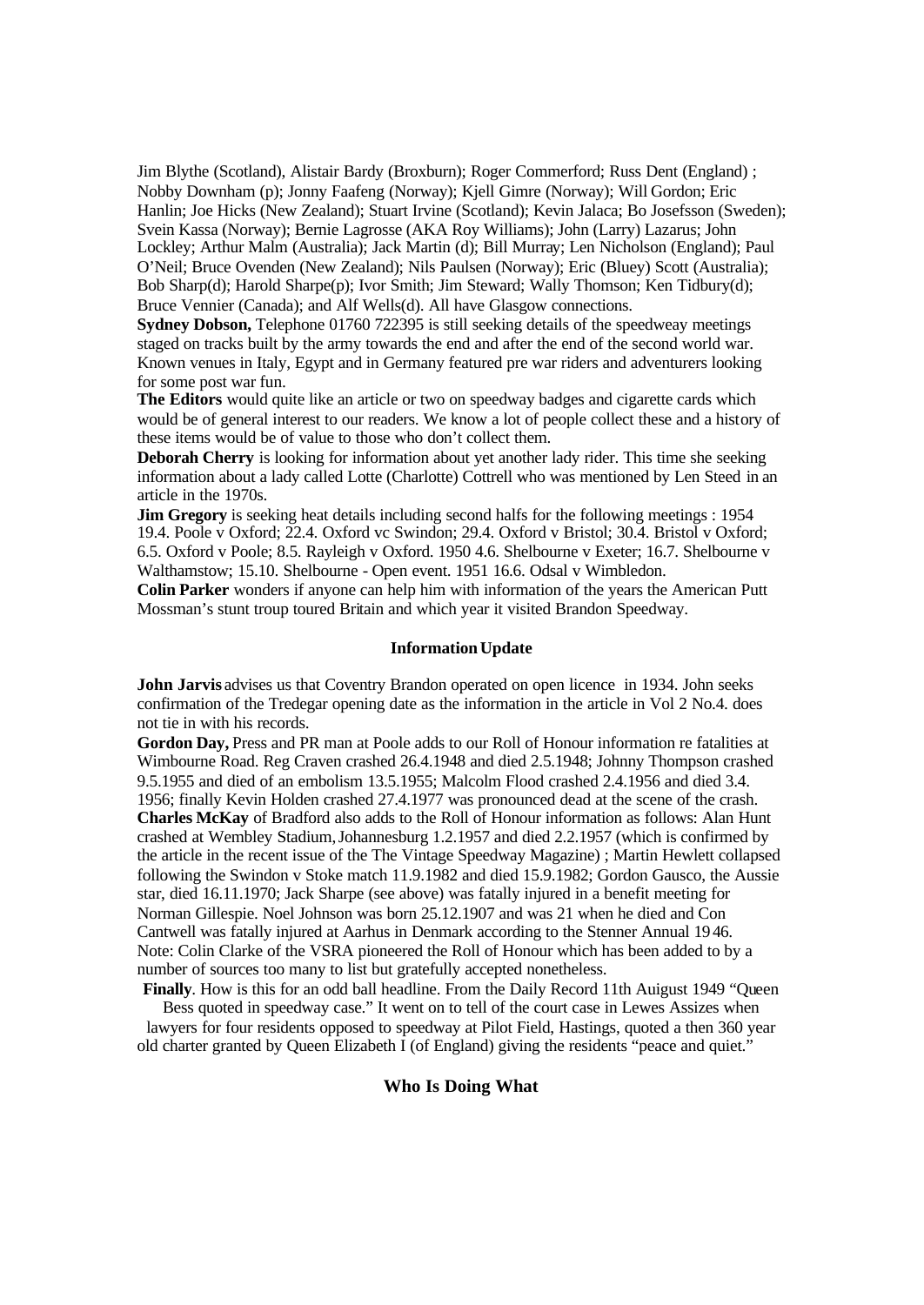Jim Blythe (Scotland), Alistair Bardy (Broxburn); Roger Commerford; Russ Dent (England) ; Nobby Downham (p); Jonny Faafeng (Norway); Kjell Gimre (Norway); Will Gordon; Eric Hanlin; Joe Hicks (New Zealand); Stuart Irvine (Scotland); Kevin Jalaca; Bo Josefsson (Sweden); Svein Kassa (Norway); Bernie Lagrosse (AKA Roy Williams); John (Larry) Lazarus; John Lockley; Arthur Malm (Australia); Jack Martin (d); Bill Murray; Len Nicholson (England); Paul O'Neil; Bruce Ovenden (New Zealand); Nils Paulsen (Norway); Eric (Bluey) Scott (Australia); Bob Sharp(d); Harold Sharpe(p); Ivor Smith; Jim Steward; Wally Thomson; Ken Tidbury(d); Bruce Vennier (Canada); and Alf Wells(d). All have Glasgow connections.

**Sydney Dobson,** Telephone 01760 722395 is still seeking details of the speedweay meetings staged on tracks built by the army towards the end and after the end of the second world war. Known venues in Italy, Egypt and in Germany featured pre war riders and adventurers looking for some post war fun.

**The Editors** would quite like an article or two on speedway badges and cigarette cards which would be of general interest to our readers. We know a lot of people collect these and a history of these items would be of value to those who don't collect them.

**Deborah Cherry** is looking for information about yet another lady rider. This time she seeking information about a lady called Lotte (Charlotte) Cottrell who was mentioned by Len Steed in an article in the 1970s.

**Jim Gregory** is seeking heat details including second halfs for the following meetings : 1954 19.4. Poole v Oxford; 22.4. Oxford vc Swindon; 29.4. Oxford v Bristol; 30.4. Bristol v Oxford; 6.5. Oxford v Poole; 8.5. Rayleigh v Oxford. 1950 4.6. Shelbourne v Exeter; 16.7. Shelbourne v Walthamstow; 15.10. Shelbourne - Open event. 1951 16.6. Odsal v Wimbledon.

**Colin Parker** wonders if anyone can help him with information of the years the American Putt Mossman's stunt troup toured Britain and which year it visited Brandon Speedway.

#### **InformationUpdate**

**John Jarvis** advises us that Coventry Brandon operated on open licence in 1934. John seeks confirmation of the Tredegar opening date as the information in the article in Vol 2 No.4. does not tie in with his records.

**Gordon Day,** Press and PR man at Poole adds to our Roll of Honour information re fatalities at Wimbourne Road. Reg Craven crashed 26.4.1948 and died 2.5.1948; Johnny Thompson crashed 9.5.1955 and died of an embolism 13.5.1955; Malcolm Flood crashed 2.4.1956 and died 3.4. 1956; finally Kevin Holden crashed 27.4.1977 was pronounced dead at the scene of the crash. **Charles McKay** of Bradford also adds to the Roll of Honour information as follows: Alan Hunt crashed at Wembley Stadium,Johannesburg 1.2.1957 and died 2.2.1957 (which is confirmed by the article in the recent issue of the The Vintage Speedway Magazine) ; Martin Hewlett collapsed following the Swindon v Stoke match 11.9.1982 and died 15.9.1982; Gordon Gausco, the Aussie star, died 16.11.1970; Jack Sharpe (see above) was fatally injured in a benefit meeting for Norman Gillespie. Noel Johnson was born 25.12.1907 and was 21 when he died and Con Cantwell was fatally injured at Aarhus in Denmark according to the Stenner Annual 1946. Note: Colin Clarke of the VSRA pioneered the Roll of Honour which has been added to by a number of sources too many to list but gratefully accepted nonetheless.

**Finally**. How is this for an odd ball headline. From the Daily Record 11th Auigust 1949 "Queen Bess quoted in speedway case." It went on to tell of the court case in Lewes Assizes when lawyers for four residents opposed to speedway at Pilot Field, Hastings, quoted a then 360 year old charter granted by Queen Elizabeth I (of England) giving the residents "peace and quiet."

#### **Who Is Doing What**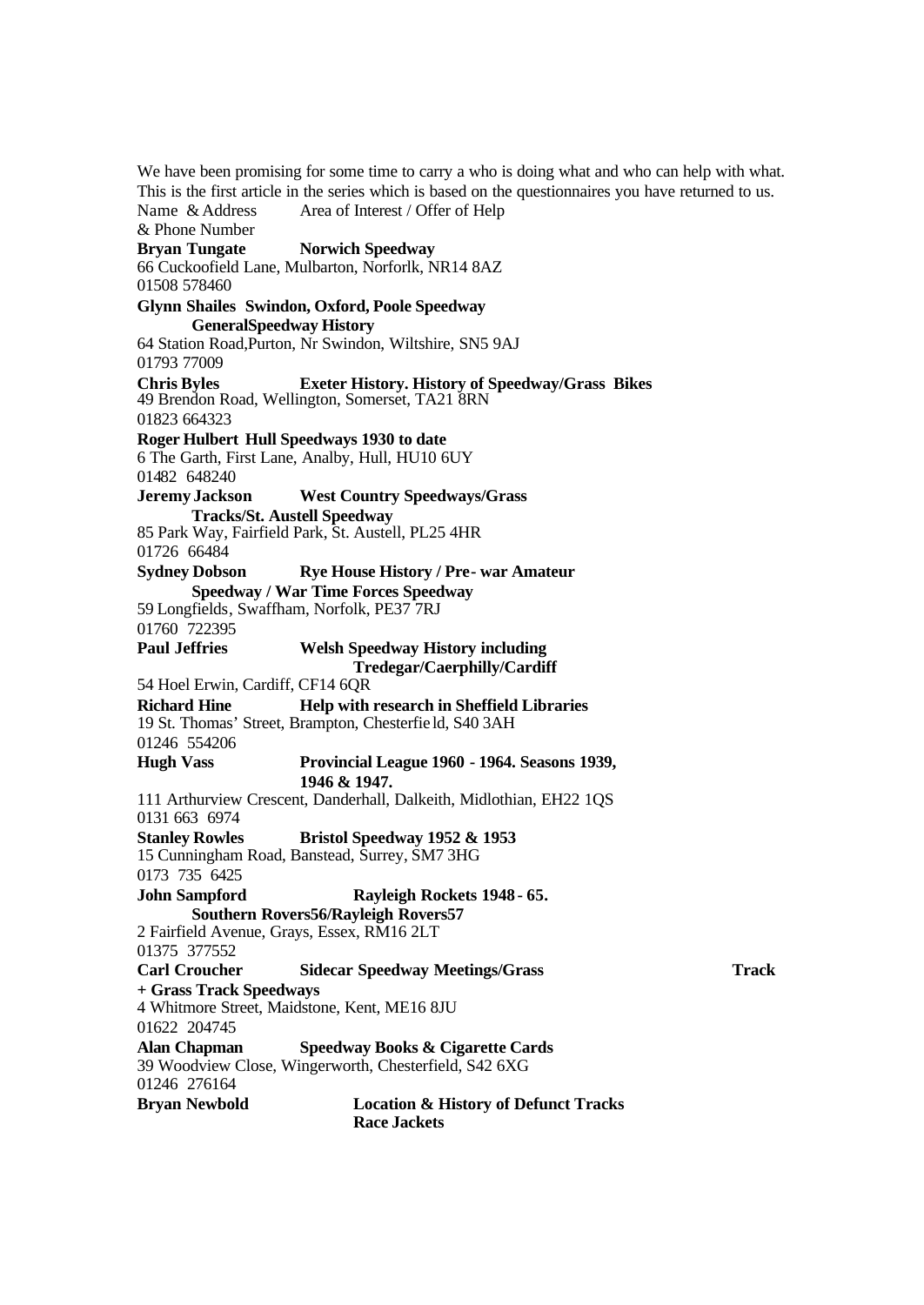We have been promising for some time to carry a who is doing what and who can help with what. This is the first article in the series which is based on the questionnaires you have returned to us. Name & Address Area of Interest / Offer of Help & Phone Number **Bryan Tungate Norwich Speedway** 66 Cuckoofield Lane, Mulbarton, Norforlk, NR14 8AZ 01508 578460 **Glynn Shailes Swindon, Oxford, Poole Speedway GeneralSpeedway History**  64 Station Road,Purton, Nr Swindon, Wiltshire, SN5 9AJ 01793 77009 **Chris Byles Exeter History. History of Speedway/Grass Bikes** 49 Brendon Road, Wellington, Somerset, TA21 8RN 01823 664323 **Roger Hulbert Hull Speedways 1930 to date** 6 The Garth, First Lane, Analby, Hull, HU10 6UY 01482 648240 **Jeremy Jackson West Country Speedways/Grass Tracks/St. Austell Speedway** 85 Park Way, Fairfield Park, St. Austell, PL25 4HR 01726 66484 **Sydney Dobson Rye House History / Pre- war Amateur Speedway / War Time Forces Speedway** 59 Longfields, Swaffham, Norfolk, PE37 7RJ 01760 722395 **Paul Jeffries Welsh Speedway History including Tredegar/Caerphilly/Cardiff** 54 Hoel Erwin, Cardiff, CF14 6QR **Richard Hine Help with research in Sheffield Libraries** 19 St. Thomas' Street, Brampton, Chesterfie ld, S40 3AH 01246 554206 **Hugh Vass Provincial League 1960 - 1964. Seasons 1939, 1946 & 1947.** 111 Arthurview Crescent, Danderhall, Dalkeith, Midlothian, EH22 1QS 0131 663 6974 **Stanley Rowles Bristol Speedway 1952 & 1953** 15 Cunningham Road, Banstead, Surrey, SM7 3HG 0173 735 6425 **John Sampford Rayleigh Rockets 1948 - 65. Southern Rovers56/Rayleigh Rovers57** 2 Fairfield Avenue, Grays, Essex, RM16 2LT 01375 377552 **Carl Croucher Sidecar Speedway Meetings/Grass Track + Grass Track Speedways** 4 Whitmore Street, Maidstone, Kent, ME16 8JU 01622 204745 **Alan Chapman Speedway Books & Cigarette Cards** 39 Woodview Close, Wingerworth, Chesterfield, S42 6XG 01246 276164 **Bryan Newbold Location & History of Defunct Tracks Race Jackets**